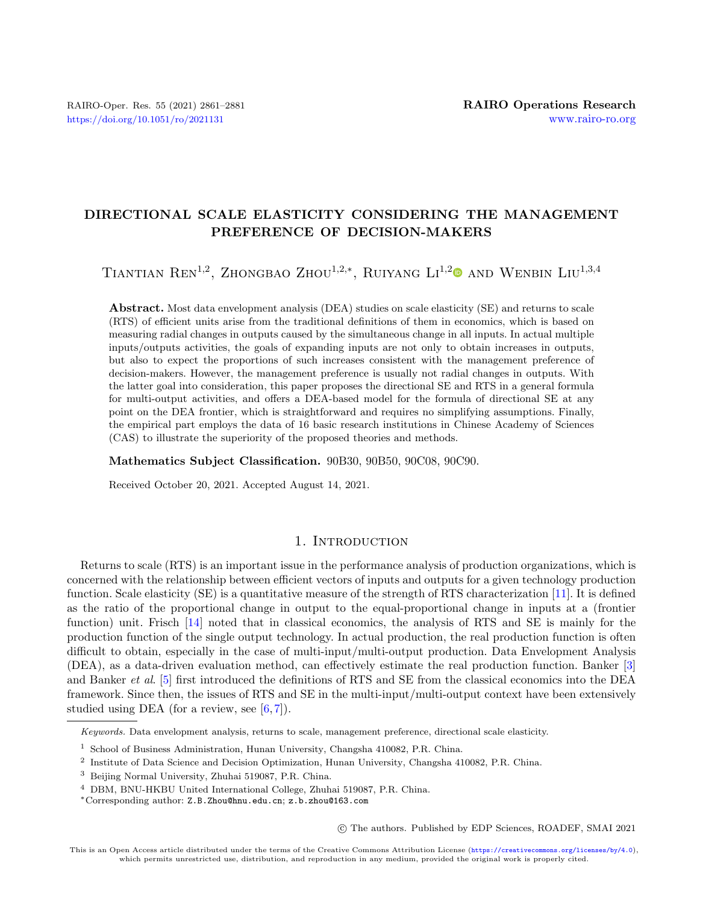# DIRECTIONAL SCALE ELASTICITY CONSIDERING THE MANAGEMENT PREFERENCE OF DECISION-MAKERS

TIANTIAN REN<sup>1,[2](https://orcid.org/0000-0002-8870-009X)</sup>, ZHONGBAO ZHOU<sup>1,2,\*</sup>, RUIYANG LI<sup>1,2</sup><sup>®</sup> AND WENBIN LIU<sup>1,3,4</sup>

Abstract. Most data envelopment analysis (DEA) studies on scale elasticity (SE) and returns to scale (RTS) of efficient units arise from the traditional definitions of them in economics, which is based on measuring radial changes in outputs caused by the simultaneous change in all inputs. In actual multiple inputs/outputs activities, the goals of expanding inputs are not only to obtain increases in outputs, but also to expect the proportions of such increases consistent with the management preference of decision-makers. However, the management preference is usually not radial changes in outputs. With the latter goal into consideration, this paper proposes the directional SE and RTS in a general formula for multi-output activities, and offers a DEA-based model for the formula of directional SE at any point on the DEA frontier, which is straightforward and requires no simplifying assumptions. Finally, the empirical part employs the data of 16 basic research institutions in Chinese Academy of Sciences (CAS) to illustrate the superiority of the proposed theories and methods.

Mathematics Subject Classification. 90B30, 90B50, 90C08, 90C90.

Received October 20, 2021. Accepted August 14, 2021.

# 1. INTRODUCTION

Returns to scale (RTS) is an important issue in the performance analysis of production organizations, which is concerned with the relationship between efficient vectors of inputs and outputs for a given technology production function. Scale elasticity (SE) is a quantitative measure of the strength of RTS characterization [\[11\]](#page-19-0). It is defined as the ratio of the proportional change in output to the equal-proportional change in inputs at a (frontier function) unit. Frisch [\[14\]](#page-19-1) noted that in classical economics, the analysis of RTS and SE is mainly for the production function of the single output technology. In actual production, the real production function is often difficult to obtain, especially in the case of multi-input/multi-output production. Data Envelopment Analysis (DEA), as a data-driven evaluation method, can effectively estimate the real production function. Banker [\[3\]](#page-19-2) and Banker et al. [\[5\]](#page-19-3) first introduced the definitions of RTS and SE from the classical economics into the DEA framework. Since then, the issues of RTS and SE in the multi-input/multi-output context have been extensively studied using DEA (for a review, see  $[6, 7]$  $[6, 7]$  $[6, 7]$ ).

○c The authors. Published by EDP Sciences, ROADEF, SMAI 2021

This is an Open Access article distributed under the terms of the Creative Commons Attribution License (<https://creativecommons.org/licenses/by/4.0>), which permits unrestricted use, distribution, and reproduction in any medium, provided the original work is properly cited.

Keywords. Data envelopment analysis, returns to scale, management preference, directional scale elasticity.

<sup>1</sup> School of Business Administration, Hunan University, Changsha 410082, P.R. China.

<sup>2</sup> Institute of Data Science and Decision Optimization, Hunan University, Changsha 410082, P.R. China.

<sup>3</sup> Beijing Normal University, Zhuhai 519087, P.R. China.

<sup>4</sup> DBM, BNU-HKBU United International College, Zhuhai 519087, P.R. China.

<sup>\*</sup>Corresponding author: [Z.B.Zhou@hnu.edu.cn](mailto:Z.B.Zhou@hnu.edu.cn); [z.b.zhou@163.com](mailto:z.b.zhou@163.com)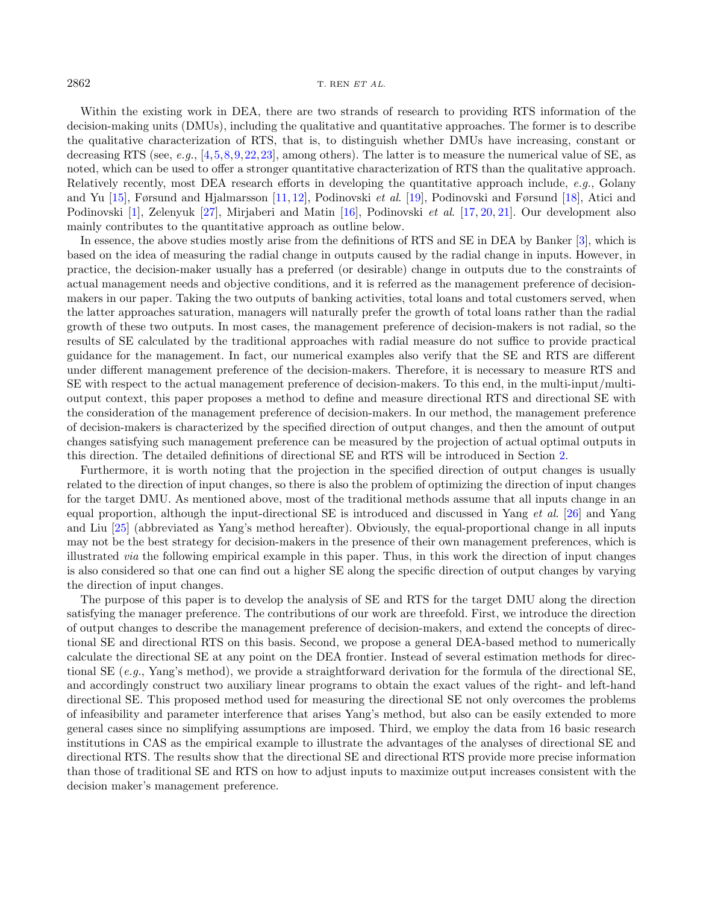#### $2862$  T. REN  $ETAL$ .

Within the existing work in DEA, there are two strands of research to providing RTS information of the decision-making units (DMUs), including the qualitative and quantitative approaches. The former is to describe the qualitative characterization of RTS, that is, to distinguish whether DMUs have increasing, constant or decreasing RTS (see, e.g., [\[4,](#page-19-6)[5,](#page-19-3)[8,](#page-19-7)[9,](#page-19-8)[22,](#page-20-0)[23\]](#page-20-1), among others). The latter is to measure the numerical value of SE, as noted, which can be used to offer a stronger quantitative characterization of RTS than the qualitative approach. Relatively recently, most DEA research efforts in developing the quantitative approach include, e.g., Golany and Yu [\[15\]](#page-19-9), Førsund and Hjalmarsson [\[11,](#page-19-0) [12\]](#page-19-10), Podinovski et al. [\[19\]](#page-20-2), Podinovski and Førsund [\[18\]](#page-19-11), Atici and Podinovski [\[1\]](#page-19-12), Zelenyuk [\[27\]](#page-20-3), Mirjaberi and Matin [\[16\]](#page-19-13), Podinovski et al. [\[17,](#page-19-14) [20,](#page-20-4) [21\]](#page-20-5). Our development also mainly contributes to the quantitative approach as outline below.

In essence, the above studies mostly arise from the definitions of RTS and SE in DEA by Banker [\[3\]](#page-19-2), which is based on the idea of measuring the radial change in outputs caused by the radial change in inputs. However, in practice, the decision-maker usually has a preferred (or desirable) change in outputs due to the constraints of actual management needs and objective conditions, and it is referred as the management preference of decisionmakers in our paper. Taking the two outputs of banking activities, total loans and total customers served, when the latter approaches saturation, managers will naturally prefer the growth of total loans rather than the radial growth of these two outputs. In most cases, the management preference of decision-makers is not radial, so the results of SE calculated by the traditional approaches with radial measure do not suffice to provide practical guidance for the management. In fact, our numerical examples also verify that the SE and RTS are different under different management preference of the decision-makers. Therefore, it is necessary to measure RTS and SE with respect to the actual management preference of decision-makers. To this end, in the multi-input/multioutput context, this paper proposes a method to define and measure directional RTS and directional SE with the consideration of the management preference of decision-makers. In our method, the management preference of decision-makers is characterized by the specified direction of output changes, and then the amount of output changes satisfying such management preference can be measured by the projection of actual optimal outputs in this direction. The detailed definitions of directional SE and RTS will be introduced in Section [2.](#page-2-0)

Furthermore, it is worth noting that the projection in the specified direction of output changes is usually related to the direction of input changes, so there is also the problem of optimizing the direction of input changes for the target DMU. As mentioned above, most of the traditional methods assume that all inputs change in an equal proportion, although the input-directional SE is introduced and discussed in Yang et al. [\[26\]](#page-20-6) and Yang and Liu [\[25\]](#page-20-7) (abbreviated as Yang's method hereafter). Obviously, the equal-proportional change in all inputs may not be the best strategy for decision-makers in the presence of their own management preferences, which is illustrated via the following empirical example in this paper. Thus, in this work the direction of input changes is also considered so that one can find out a higher SE along the specific direction of output changes by varying the direction of input changes.

The purpose of this paper is to develop the analysis of SE and RTS for the target DMU along the direction satisfying the manager preference. The contributions of our work are threefold. First, we introduce the direction of output changes to describe the management preference of decision-makers, and extend the concepts of directional SE and directional RTS on this basis. Second, we propose a general DEA-based method to numerically calculate the directional SE at any point on the DEA frontier. Instead of several estimation methods for directional SE (e.g., Yang's method), we provide a straightforward derivation for the formula of the directional SE, and accordingly construct two auxiliary linear programs to obtain the exact values of the right- and left-hand directional SE. This proposed method used for measuring the directional SE not only overcomes the problems of infeasibility and parameter interference that arises Yang's method, but also can be easily extended to more general cases since no simplifying assumptions are imposed. Third, we employ the data from 16 basic research institutions in CAS as the empirical example to illustrate the advantages of the analyses of directional SE and directional RTS. The results show that the directional SE and directional RTS provide more precise information than those of traditional SE and RTS on how to adjust inputs to maximize output increases consistent with the decision maker's management preference.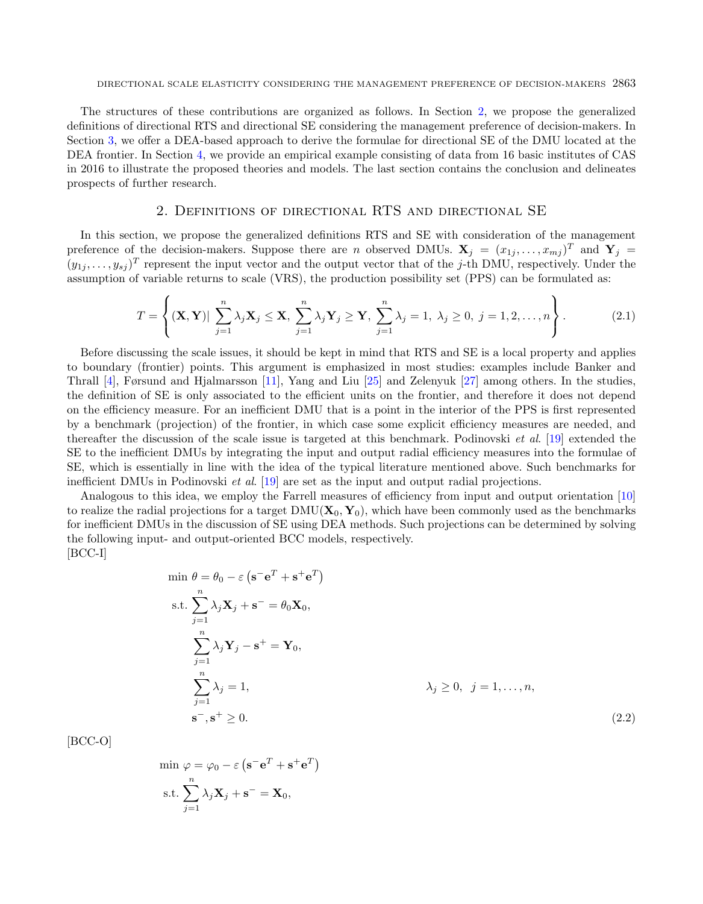The structures of these contributions are organized as follows. In Section [2,](#page-2-0) we propose the generalized definitions of directional RTS and directional SE considering the management preference of decision-makers. In Section [3,](#page-5-0) we offer a DEA-based approach to derive the formulae for directional SE of the DMU located at the DEA frontier. In Section [4,](#page-7-0) we provide an empirical example consisting of data from 16 basic institutes of CAS in 2016 to illustrate the proposed theories and models. The last section contains the conclusion and delineates prospects of further research.

## 2. Definitions of directional RTS and directional SE

<span id="page-2-0"></span>In this section, we propose the generalized definitions RTS and SE with consideration of the management preference of the decision-makers. Suppose there are *n* observed DMUs.  $\mathbf{X}_j = (x_{1j}, \ldots, x_{mj})^T$  and  $\mathbf{Y}_j =$  $(y_{1j},\ldots,y_{sj})^T$  represent the input vector and the output vector that of the j-th DMU, respectively. Under the assumption of variable returns to scale (VRS), the production possibility set (PPS) can be formulated as:

$$
T = \left\{ (\mathbf{X}, \mathbf{Y}) | \sum_{j=1}^{n} \lambda_j \mathbf{X}_j \le \mathbf{X}, \sum_{j=1}^{n} \lambda_j \mathbf{Y}_j \ge \mathbf{Y}, \sum_{j=1}^{n} \lambda_j = 1, \lambda_j \ge 0, j = 1, 2, \dots, n \right\}.
$$
 (2.1)

Before discussing the scale issues, it should be kept in mind that RTS and SE is a local property and applies to boundary (frontier) points. This argument is emphasized in most studies: examples include Banker and Thrall [\[4\]](#page-19-6), Førsund and Hjalmarsson [\[11\]](#page-19-0), Yang and Liu [\[25\]](#page-20-7) and Zelenyuk [\[27\]](#page-20-3) among others. In the studies, the definition of SE is only associated to the efficient units on the frontier, and therefore it does not depend on the efficiency measure. For an inefficient DMU that is a point in the interior of the PPS is first represented by a benchmark (projection) of the frontier, in which case some explicit efficiency measures are needed, and thereafter the discussion of the scale issue is targeted at this benchmark. Podinovski et al. [\[19\]](#page-20-2) extended the SE to the inefficient DMUs by integrating the input and output radial efficiency measures into the formulae of SE, which is essentially in line with the idea of the typical literature mentioned above. Such benchmarks for inefficient DMUs in Podinovski et al. [\[19\]](#page-20-2) are set as the input and output radial projections.

Analogous to this idea, we employ the Farrell measures of efficiency from input and output orientation [\[10\]](#page-19-15) to realize the radial projections for a target  $DMU(X_0, Y_0)$ , which have been commonly used as the benchmarks for inefficient DMUs in the discussion of SE using DEA methods. Such projections can be determined by solving the following input- and output-oriented BCC models, respectively. [BCC-I]

<span id="page-2-1"></span> $)$ 

$$
\min \theta = \theta_0 - \varepsilon \left( \mathbf{s}^{-} \mathbf{e}^{T} + \mathbf{s}^{+} \mathbf{e}^{T} \right)
$$
  
s.t. 
$$
\sum_{j=1}^{n} \lambda_j \mathbf{X}_j + \mathbf{s}^{-} = \theta_0 \mathbf{X}_0,
$$

$$
\sum_{j=1}^{n} \lambda_j \mathbf{Y}_j - \mathbf{s}^{+} = \mathbf{Y}_0,
$$

$$
\sum_{j=1}^{n} \lambda_j = 1,
$$

$$
\lambda_j \geq 0, \quad j = 1, ..., n,
$$

$$
\mathbf{s}^{-}, \mathbf{s}^{+} \geq 0.
$$

$$
(2.2)
$$

[BCC-O]

$$
\min \varphi = \varphi_0 - \varepsilon \left( \mathbf{s}^- \mathbf{e}^T + \mathbf{s}^+ \mathbf{e}^T \right)
$$
  
s.t. 
$$
\sum_{j=1}^n \lambda_j \mathbf{X}_j + \mathbf{s}^- = \mathbf{X}_0,
$$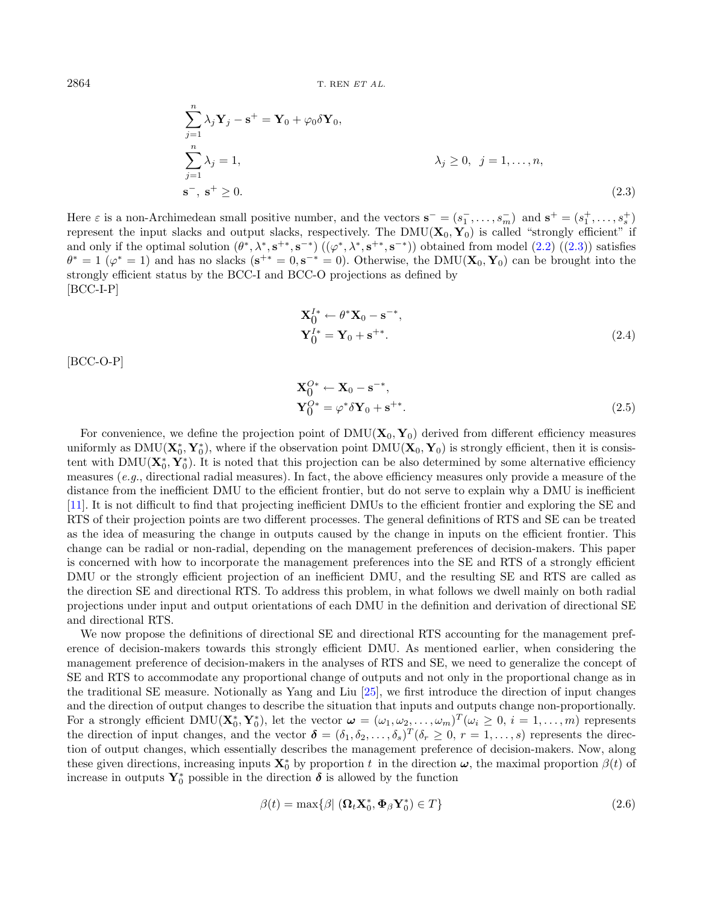$2864$  T. REN ET AL.

$$
\sum_{j=1}^{n} \lambda_j \mathbf{Y}_j - \mathbf{s}^+ = \mathbf{Y}_0 + \varphi_0 \delta \mathbf{Y}_0,
$$
\n
$$
\sum_{j=1}^{n} \lambda_j = 1,
$$
\n
$$
\lambda_j \ge 0, \ j = 1, \dots, n,
$$
\n
$$
\mathbf{s}^-, \ \mathbf{s}^+ \ge 0.
$$
\n(2.3)

Here  $\varepsilon$  is a non-Archimedean small positive number, and the vectors  $\mathbf{s}^- = (s_1^-, \ldots, s_m^-)$  and  $\mathbf{s}^+ = (s_1^+, \ldots, s_s^+)$ represent the input slacks and output slacks, respectively. The  $DMU(X_0, Y_0)$  is called "strongly efficient" if and only if the optimal solution  $(\theta^*, \lambda^*, \mathbf{s}^{+*}, \mathbf{s}^{-*})$   $((\varphi^*, \lambda^*, \mathbf{s}^{+*}, \mathbf{s}^{-*}))$  obtained from model  $(2.2)$   $((2.3))$  $((2.3))$  $((2.3))$  satisfies  $\theta^* = 1$  ( $\varphi^* = 1$ ) and has no slacks ( $\mathbf{s}^{+*} = 0, \mathbf{s}^{-*} = 0$ ). Otherwise, the DMU( $\mathbf{X}_0, \mathbf{Y}_0$ ) can be brought into the strongly efficient status by the BCC-I and BCC-O projections as defined by [BCC-I-P]

<span id="page-3-2"></span><span id="page-3-1"></span><span id="page-3-0"></span>
$$
\mathbf{X}_0^{I*} \leftarrow \theta^* \mathbf{X}_0 - \mathbf{s}^{-*},
$$
  
\n
$$
\mathbf{Y}_0^{I*} = \mathbf{Y}_0 + \mathbf{s}^{+*}.
$$
\n(2.4)

[BCC-O-P]

<span id="page-3-3"></span>
$$
\mathbf{X}_0^{O*} \leftarrow \mathbf{X}_0 - \mathbf{s}^{-*},
$$
  
\n
$$
\mathbf{Y}_0^{O*} = \varphi^* \delta \mathbf{Y}_0 + \mathbf{s}^{+*}.
$$
\n(2.5)

For convenience, we define the projection point of  $\text{DMU}(\mathbf{X}_0, \mathbf{Y}_0)$  derived from different efficiency measures uniformly as  $\text{DMU}(\mathbf{X}_0^*, \mathbf{Y}_0^*)$ , where if the observation point  $\text{DMU}(\mathbf{X}_0, \mathbf{Y}_0)$  is strongly efficient, then it is consistent with  $\text{DMU}(\mathbf{X}_0^*, \mathbf{Y}_0^*)$ . It is noted that this projection can be also determined by some alternative efficiency measures  $(e.g.,$  directional radial measures). In fact, the above efficiency measures only provide a measure of the distance from the inefficient DMU to the efficient frontier, but do not serve to explain why a DMU is inefficient [\[11\]](#page-19-0). It is not difficult to find that projecting inefficient DMUs to the efficient frontier and exploring the SE and RTS of their projection points are two different processes. The general definitions of RTS and SE can be treated as the idea of measuring the change in outputs caused by the change in inputs on the efficient frontier. This change can be radial or non-radial, depending on the management preferences of decision-makers. This paper is concerned with how to incorporate the management preferences into the SE and RTS of a strongly efficient DMU or the strongly efficient projection of an inefficient DMU, and the resulting SE and RTS are called as the direction SE and directional RTS. To address this problem, in what follows we dwell mainly on both radial projections under input and output orientations of each DMU in the definition and derivation of directional SE and directional RTS.

We now propose the definitions of directional SE and directional RTS accounting for the management preference of decision-makers towards this strongly efficient DMU. As mentioned earlier, when considering the management preference of decision-makers in the analyses of RTS and SE, we need to generalize the concept of SE and RTS to accommodate any proportional change of outputs and not only in the proportional change as in the traditional SE measure. Notionally as Yang and Liu [\[25\]](#page-20-7), we first introduce the direction of input changes and the direction of output changes to describe the situation that inputs and outputs change non-proportionally. For a strongly efficient DMU( $\mathbf{X}_0^*, \mathbf{Y}_0^*$ ), let the vector  $\boldsymbol{\omega} = (\omega_1, \omega_2, \dots, \omega_m)^T (\omega_i \geq 0, i = 1, \dots, m)$  represents the direction of input changes, and the vector  $\boldsymbol{\delta} = (\delta_1, \delta_2, \dots, \delta_s)^T (\delta_r \geq 0, r = 1, \dots, s)$  represents the direction of output changes, which essentially describes the management preference of decision-makers. Now, along these given directions, increasing inputs  $\mathbf{X}_0^*$  by proportion t in the direction  $\boldsymbol{\omega}$ , the maximal proportion  $\beta(t)$  of increase in outputs  $\mathbf{Y}_0^*$  possible in the direction  $\boldsymbol{\delta}$  is allowed by the function

$$
\beta(t) = \max\{\beta \mid (\mathbf{\Omega}_t \mathbf{X}_0^*, \mathbf{\Phi}_\beta \mathbf{Y}_0^*) \in T\}
$$
\n(2.6)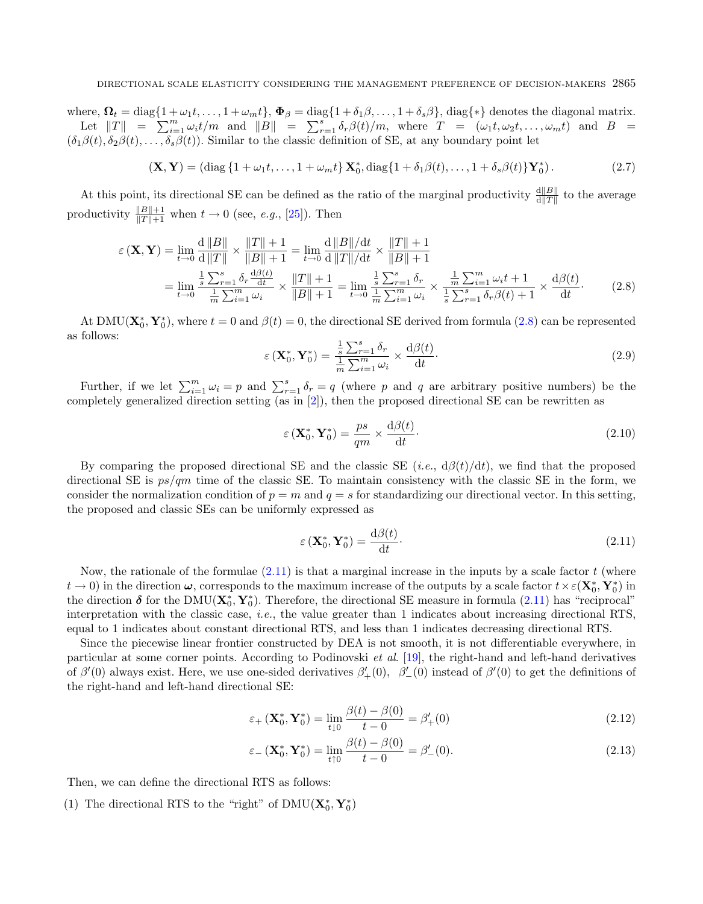where,  $\Omega_t = \text{diag}\{1 + \omega_1 t, \dots, 1 + \omega_m t\}$ ,  $\Phi_\beta = \text{diag}\{1 + \delta_1 \beta, \dots, 1 + \delta_s \beta\}$ , diag $\{\ast\}$  denotes the diagonal matrix. Let  $||T|| = \sum_{i=1}^m \omega_i t/m$  and  $||B|| = \sum_{r=1}^s \delta_r \beta(t)/m$ , where  $T = (\omega_1 t, \omega_2 t, \dots, \omega_m t)$  and  $B =$  $(\delta_1\beta(t), \delta_2\beta(t), \ldots, \delta_s\beta(t))$ . Similar to the classic definition of SE, at any boundary point let

$$
(\mathbf{X}, \mathbf{Y}) = (\text{diag}\left\{1 + \omega_1 t, \dots, 1 + \omega_m t\right\} \mathbf{X}_0^*, \text{diag}\left\{1 + \delta_1 \beta(t), \dots, 1 + \delta_s \beta(t)\right\} \mathbf{Y}_0^*). \tag{2.7}
$$

At this point, its directional SE can be defined as the ratio of the marginal productivity  $\frac{d||B||}{d||T||}$  to the average productivity  $\frac{\|B\|+1}{\|T\|+1}$  when  $t \to 0$  (see, *e.g.*, [\[25\]](#page-20-7)). Then

$$
\varepsilon(\mathbf{X}, \mathbf{Y}) = \lim_{t \to 0} \frac{\mathrm{d} \, \|B\|}{\mathrm{d} \, \|T\|} \times \frac{\|T\| + 1}{\|B\| + 1} = \lim_{t \to 0} \frac{\mathrm{d} \, \|B\| / \mathrm{d}t}{\mathrm{d} \, \|T\| / \mathrm{d}t} \times \frac{\|T\| + 1}{\|B\| + 1}
$$
\n
$$
= \lim_{t \to 0} \frac{\frac{1}{s} \sum_{r=1}^{s} \delta_r \frac{\mathrm{d}\beta(t)}{\mathrm{d}t}}{\frac{1}{m} \sum_{i=1}^{m} \omega_i} \times \frac{\|T\| + 1}{\|B\| + 1} = \lim_{t \to 0} \frac{\frac{1}{s} \sum_{r=1}^{s} \delta_r}{\frac{1}{m} \sum_{i=1}^{m} \omega_i} \times \frac{\frac{1}{m} \sum_{i=1}^{m} \omega_i t + 1}{\frac{1}{s} \sum_{r=1}^{s} \delta_r \beta(t) + 1} \times \frac{\mathrm{d}\beta(t)}{\mathrm{d}t}. \tag{2.8}
$$

At DMU( $\mathbf{X}_0^*, \mathbf{Y}_0^*$ ), where  $t = 0$  and  $\beta(t) = 0$ , the directional SE derived from formula [\(2.8\)](#page-4-0) can be represented as follows:

<span id="page-4-1"></span><span id="page-4-0"></span>
$$
\varepsilon\left(\mathbf{X}_0^*, \mathbf{Y}_0^*\right) = \frac{\frac{1}{s} \sum_{r=1}^s \delta_r}{\frac{1}{m} \sum_{i=1}^m \omega_i} \times \frac{\mathrm{d}\beta(t)}{\mathrm{d}t}.\tag{2.9}
$$

Further, if we let  $\sum_{i=1}^{m} \omega_i = p$  and  $\sum_{r=1}^{s} \delta_r = q$  (where p and q are arbitrary positive numbers) be the completely generalized direction setting (as in [\[2\]](#page-19-16)), then the proposed directional SE can be rewritten as

$$
\varepsilon\left(\mathbf{X}_0^*,\mathbf{Y}_0^*\right) = \frac{ps}{qm} \times \frac{\mathrm{d}\beta(t)}{\mathrm{d}t}.\tag{2.10}
$$

By comparing the proposed directional SE and the classic SE (*i.e.*,  $d\beta(t)/dt$ ), we find that the proposed directional SE is  $ps/m$  time of the classic SE. To maintain consistency with the classic SE in the form, we consider the normalization condition of  $p = m$  and  $q = s$  for standardizing our directional vector. In this setting, the proposed and classic SEs can be uniformly expressed as

<span id="page-4-3"></span><span id="page-4-2"></span>
$$
\varepsilon\left(\mathbf{X}_0^*,\mathbf{Y}_0^*\right) = \frac{\mathrm{d}\beta(t)}{\mathrm{d}t}.\tag{2.11}
$$

Now, the rationale of the formulae  $(2.11)$  is that a marginal increase in the inputs by a scale factor  $t$  (where  $t\to 0$ ) in the direction  $\omega$ , corresponds to the maximum increase of the outputs by a scale factor  $t \times \varepsilon(\mathbf{X}_0^*, \mathbf{Y}_0^*)$  in the direction  $\delta$  for the DMU( $\mathbf{X}_0^*$ ,  $\mathbf{Y}_0^*$ ). Therefore, the directional SE measure in formula [\(2.11\)](#page-4-1) has "reciprocal" interpretation with the classic case, i.e., the value greater than 1 indicates about increasing directional RTS, equal to 1 indicates about constant directional RTS, and less than 1 indicates decreasing directional RTS.

Since the piecewise linear frontier constructed by DEA is not smooth, it is not differentiable everywhere, in particular at some corner points. According to Podinovski et al. [\[19\]](#page-20-2), the right-hand and left-hand derivatives of  $\beta'(0)$  always exist. Here, we use one-sided derivatives  $\beta'_{+}(0)$ ,  $\beta'_{-}(0)$  instead of  $\beta'(0)$  to get the definitions of the right-hand and left-hand directional SE:

$$
\varepsilon_{+}\left(\mathbf{X}_{0}^{*},\mathbf{Y}_{0}^{*}\right)=\lim_{t\downarrow0}\frac{\beta(t)-\beta(0)}{t-0}=\beta_{+}'(0)
$$
\n(2.12)

$$
\varepsilon_{-} (\mathbf{X}_0^*, \mathbf{Y}_0^*) = \lim_{t \uparrow 0} \frac{\beta(t) - \beta(0)}{t - 0} = \beta'_{-}(0). \tag{2.13}
$$

Then, we can define the directional RTS as follows:

(1) The directional RTS to the "right" of  $\mathrm{DMU}(\mathbf{X}_0^*, \mathbf{Y}_0^*)$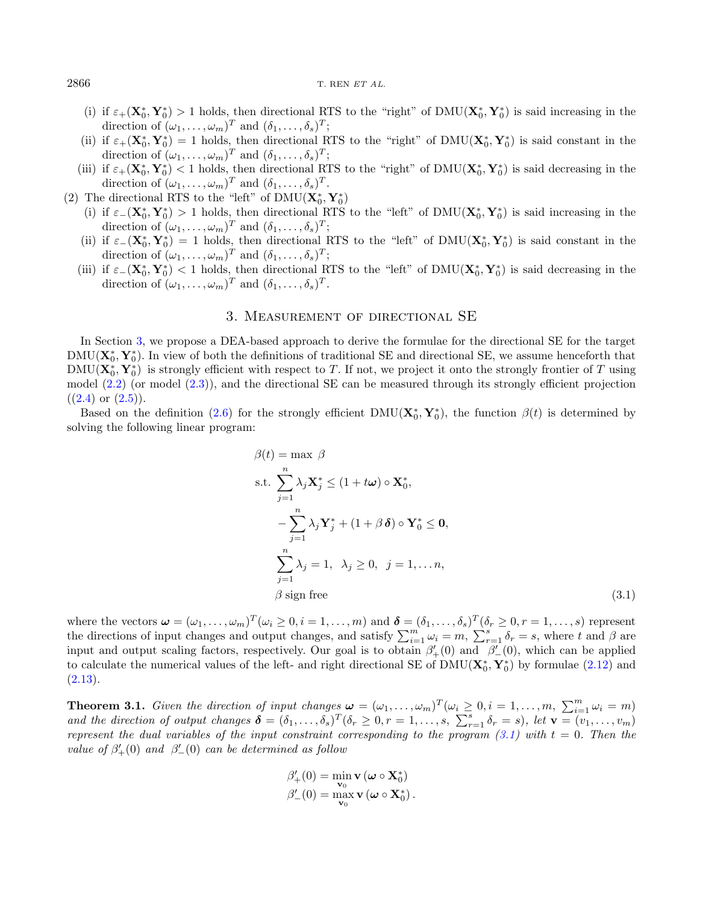#### $2866$  T. REN  $ETAL$ .

- (i) if  $\varepsilon_+(\mathbf{X}_0^*, \mathbf{Y}_0^*) > 1$  holds, then directional RTS to the "right" of DMU( $\mathbf{X}_0^*, \mathbf{Y}_0^*$ ) is said increasing in the direction of  $(\omega_1, \ldots, \omega_m)^T$  and  $(\delta_1, \ldots, \delta_s)^T$ ;
- (ii) if  $\varepsilon_+(\mathbf{X}_0^*, \mathbf{Y}_0^*) = 1$  holds, then directional RTS to the "right" of DMU( $\mathbf{X}_0^*, \mathbf{Y}_0^*$ ) is said constant in the direction of  $(\omega_1, \ldots, \omega_m)^T$  and  $(\delta_1, \ldots, \delta_s)^T$ ;
- (iii) if  $\varepsilon_+(\mathbf{X}_0^*, \mathbf{Y}_0^*)$  < 1 holds, then directional RTS to the "right" of DMU( $\mathbf{X}_0^*, \mathbf{Y}_0^*$ ) is said decreasing in the direction of  $(\omega_1, \ldots, \omega_m)^T$  and  $(\delta_1, \ldots, \delta_s)^T$ .
- (2) The directional RTS to the "left" of  $\mathrm{DMU}(\mathbf{X}_0^*,\mathbf{Y}_0^*)$ 
	- (i) if  $\varepsilon_-(\mathbf{X}_0^*, \mathbf{Y}_0^*) > 1$  holds, then directional RTS to the "left" of DMU( $\mathbf{X}_0^*, \mathbf{Y}_0^*$ ) is said increasing in the  $\mu \in (\mathbf{X}_0, \mathbf{I}_0) > 1$  holds, then directional R15 to the left of  $DMO(\mathbf{X}_0, \mathbf{I}_0)$ <br>direction of  $(\omega_1, \dots, \omega_m)^T$  and  $(\delta_1, \dots, \delta_s)^T$ ;
	- (ii) if  $\varepsilon_-(\mathbf{X}_0^*, \mathbf{Y}_0^*) = 1$  holds, then directional RTS to the "left" of DMU( $\mathbf{X}_0^*, \mathbf{Y}_0^*$ ) is said constant in the direction of  $(\omega_1, \ldots, \omega_m)^T$  and  $(\delta_1, \ldots, \delta_s)^T$ ;
	- (iii) if  $\varepsilon_-(\mathbf{X}_0^*, \mathbf{Y}_0^*)$  < 1 holds, then directional RTS to the "left" of DMU( $\mathbf{X}_0^*, \mathbf{Y}_0^*$ ) is said decreasing in the direction of  $(\omega_1, \ldots, \omega_m)^T$  and  $(\delta_1, \ldots, \delta_s)^T$ .

#### 3. Measurement of directional SE

<span id="page-5-0"></span>In Section [3,](#page-5-0) we propose a DEA-based approach to derive the formulae for the directional SE for the target  $\text{DMU}(\mathbf{X}_0^*, \mathbf{Y}_0^*)$ . In view of both the definitions of traditional SE and directional SE, we assume henceforth that  $\text{DMU}(\mathbf{X}_0^*, \mathbf{Y}_0^*)$  is strongly efficient with respect to T. If not, we project it onto the strongly frontier of T using model [\(2.2\)](#page-2-1) (or model [\(2.3\)](#page-3-0)), and the directional SE can be measured through its strongly efficient projection  $((2.4) \text{ or } (2.5)).$  $((2.4) \text{ or } (2.5)).$  $((2.4) \text{ or } (2.5)).$  $((2.4) \text{ or } (2.5)).$  $((2.4) \text{ or } (2.5)).$ 

Based on the definition [\(2.6\)](#page-3-3) for the strongly efficient  $DMU(\mathbf{X}_0^*, \mathbf{Y}_0^*)$ , the function  $\beta(t)$  is determined by solving the following linear program:

<span id="page-5-1"></span>
$$
\beta(t) = \max \beta
$$
  
s.t. 
$$
\sum_{j=1}^{n} \lambda_j \mathbf{X}_j^* \le (1 + t\omega) \circ \mathbf{X}_0^*,
$$

$$
-\sum_{j=1}^{n} \lambda_j \mathbf{Y}_j^* + (1 + \beta \delta) \circ \mathbf{Y}_0^* \le 0,
$$

$$
\sum_{j=1}^{n} \lambda_j = 1, \quad \lambda_j \ge 0, \quad j = 1, \dots n,
$$

$$
\beta \text{ sign free}
$$
(3.1)

where the vectors  $\boldsymbol{\omega} = (\omega_1, \dots, \omega_m)^T (\omega_i \geq 0, i = 1, \dots, m)$  and  $\boldsymbol{\delta} = (\delta_1, \dots, \delta_s)^T (\delta_r \geq 0, r = 1, \dots, s)$  represent the directions of input changes and output changes, and satisfy  $\sum_{i=1}^{m} \omega_i = m$ ,  $\sum_{r=1}^{s} \delta_r = s$ , where t and  $\beta$  are input and output scaling factors, respectively. Our goal is to obtain  $\beta'_{+}(0)$  and  $\beta'_{-}(0)$ , which can be applied to calculate the numerical values of the left- and right directional SE of  $\text{DMU}(\mathbf{X}_0^*, \mathbf{Y}_0^*)$  by formulae [\(2.12\)](#page-4-2) and  $(2.13).$  $(2.13).$ 

<span id="page-5-2"></span>**Theorem 3.1.** Given the direction of input changes  $\boldsymbol{\omega} = (\omega_1, \dots, \omega_m)^T (\omega_i \geq 0, i = 1, \dots, m, \sum_{i=1}^m \omega_i = m)$ and the direction of output changes  $\boldsymbol{\delta} = (\delta_1, \ldots, \delta_s)^T (\delta_r \geq 0, r = 1, \ldots, s, \sum_{r=1}^s \delta_r = s)$ , let  $\mathbf{v} = (v_1, \ldots, v_m)$ represent the dual variables of the input constraint corresponding to the program  $(3.1)$  with  $t = 0$ . Then the value of  $\beta'_{+}(0)$  and  $\beta'_{-}(0)$  can be determined as follow

$$
\begin{aligned}\n\beta'_+(0) &= \min_{\mathbf{v}_0} \mathbf{v} \left( \boldsymbol{\omega} \circ \mathbf{X}_0^* \right) \\
\beta'_-(0) &= \max_{\mathbf{v}_0} \mathbf{v} \left( \boldsymbol{\omega} \circ \mathbf{X}_0^* \right).\n\end{aligned}
$$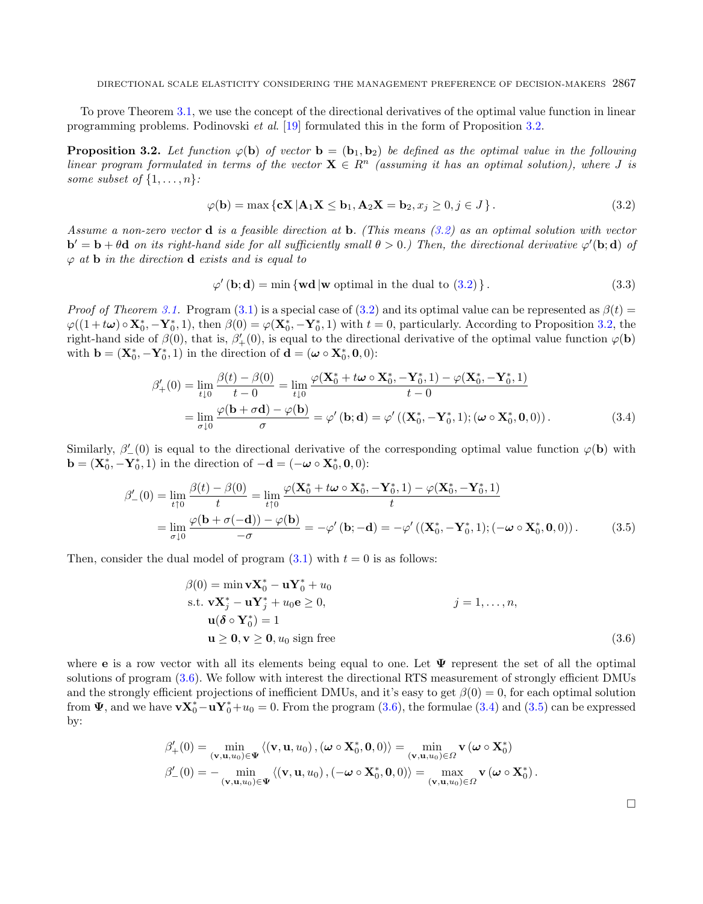<span id="page-6-1"></span>To prove Theorem [3.1,](#page-5-2) we use the concept of the directional derivatives of the optimal value function in linear programming problems. Podinovski et al. [\[19\]](#page-20-2) formulated this in the form of Proposition [3.2.](#page-6-0)

<span id="page-6-0"></span>**Proposition 3.2.** Let function  $\varphi(\mathbf{b})$  of vector  $\mathbf{b} = (\mathbf{b}_1, \mathbf{b}_2)$  be defined as the optimal value in the following linear program formulated in terms of the vector  $\mathbf{X} \in \mathbb{R}^n$  (assuming it has an optimal solution), where J is some subset of  $\{1, \ldots, n\}$ :

$$
\varphi(\mathbf{b}) = \max \left\{ \mathbf{c} \mathbf{X} \, | \mathbf{A}_1 \mathbf{X} \le \mathbf{b}_1, \mathbf{A}_2 \mathbf{X} = \mathbf{b}_2, x_j \ge 0, j \in J \right\}. \tag{3.2}
$$

Assume a non-zero vector d is a feasible direction at b. (This means [\(3.2\)](#page-6-1) as an optimal solution with vector  $\mathbf{b}' = \mathbf{b} + \theta \mathbf{d}$  on its right-hand side for all sufficiently small  $\theta > 0$ .) Then, the directional derivative  $\varphi'(\mathbf{b}; \mathbf{d})$  of  $\varphi$  at **b** in the direction **d** exists and is equal to

<span id="page-6-4"></span><span id="page-6-3"></span>
$$
\varphi'(\mathbf{b}; \mathbf{d}) = \min \{ \mathbf{wd} \, | \mathbf{w} \text{ optimal in the dual to (3.2)} \}. \tag{3.3}
$$

*Proof of Theorem [3.1.](#page-5-2)* Program [\(3.1\)](#page-5-1) is a special case of [\(3.2\)](#page-6-1) and its optimal value can be represented as  $\beta(t)$  $\varphi((1+t\omega)\circ \mathbf{X}_0^*, -\mathbf{Y}_0^*, 1)$ , then  $\beta(0) = \varphi(\mathbf{X}_0^*, -\mathbf{Y}_0^*, 1)$  with  $t = 0$ , particularly. According to Proposition [3.2,](#page-6-0) the right-hand side of  $\beta(0)$ , that is,  $\beta'_{+}(0)$ , is equal to the directional derivative of the optimal value function  $\varphi(\mathbf{b})$ with  $\mathbf{b} = (\mathbf{X}_0^*, -\mathbf{Y}_0^*, 1)$  in the direction of  $\mathbf{d} = (\boldsymbol{\omega} \circ \mathbf{X}_0^*, \mathbf{0}, 0)$ :

$$
\beta'_{+}(0) = \lim_{t \downarrow 0} \frac{\beta(t) - \beta(0)}{t - 0} = \lim_{t \downarrow 0} \frac{\varphi(\mathbf{X}_0^* + t\boldsymbol{\omega} \circ \mathbf{X}_0^*, -\mathbf{Y}_0^*, 1) - \varphi(\mathbf{X}_0^*, -\mathbf{Y}_0^*, 1)}{t - 0}
$$

$$
= \lim_{\sigma \downarrow 0} \frac{\varphi(\mathbf{b} + \sigma \mathbf{d}) - \varphi(\mathbf{b})}{\sigma} = \varphi'(\mathbf{b}; \mathbf{d}) = \varphi'((\mathbf{X}_0^*, -\mathbf{Y}_0^*, 1); (\boldsymbol{\omega} \circ \mathbf{X}_0^*, \mathbf{0}, 0)). \tag{3.4}
$$

Similarly,  $\beta'_{-}(0)$  is equal to the directional derivative of the corresponding optimal value function  $\varphi(\mathbf{b})$  with **b** = (**X**<sup>\*</sup><sub>0</sub>, **C**) in the direction of  $-\mathbf{d} = (-\boldsymbol{\omega} \circ \mathbf{X}^*_{0}, \mathbf{0}, 0)$ :

$$
\beta'_{-}(0) = \lim_{t \uparrow 0} \frac{\beta(t) - \beta(0)}{t} = \lim_{t \uparrow 0} \frac{\varphi(\mathbf{X}_0^* + t\boldsymbol{\omega} \circ \mathbf{X}_0^*, -\mathbf{Y}_0^*, 1) - \varphi(\mathbf{X}_0^*, -\mathbf{Y}_0^*, 1)}{t}
$$
  
= 
$$
\lim_{\sigma \downarrow 0} \frac{\varphi(\mathbf{b} + \sigma(-\mathbf{d})) - \varphi(\mathbf{b})}{-\sigma} = -\varphi'(\mathbf{b}; -\mathbf{d}) = -\varphi'((\mathbf{X}_0^*, -\mathbf{Y}_0^*, 1); (-\boldsymbol{\omega} \circ \mathbf{X}_0^*, \mathbf{0}, 0)).
$$
 (3.5)

Then, consider the dual model of program  $(3.1)$  with  $t = 0$  is as follows:

$$
\beta(0) = \min \mathbf{v} \mathbf{X}_0^* - \mathbf{u} \mathbf{Y}_0^* + u_0
$$
  
s.t. 
$$
\mathbf{v} \mathbf{X}_j^* - \mathbf{u} \mathbf{Y}_j^* + u_0 \mathbf{e} \ge 0,
$$
  

$$
\mathbf{u}(\delta \circ \mathbf{Y}_0^*) = 1
$$
  

$$
\mathbf{u} \ge 0, \mathbf{v} \ge 0, u_0 \text{ sign free}
$$
 (3.6)

where **e** is a row vector with all its elements being equal to one. Let  $\Psi$  represent the set of all the optimal solutions of program [\(3.6\)](#page-6-2). We follow with interest the directional RTS measurement of strongly efficient DMUs and the strongly efficient projections of inefficient DMUs, and it's easy to get  $\beta(0) = 0$ , for each optimal solution from  $\Psi$ , and we have  $vX_0^* - uY_0^* + u_0 = 0$ . From the program [\(3.6\)](#page-6-2), the formulae [\(3.4\)](#page-6-3) and [\(3.5\)](#page-6-4) can be expressed by:

$$
\beta'_{+}(0) = \min_{\left(\mathbf{v}, \mathbf{u}, u_0\right) \in \mathbf{\Psi}} \left\langle \left(\mathbf{v}, \mathbf{u}, u_0\right), \left(\boldsymbol{\omega} \circ \mathbf{X}_0^*, \mathbf{0}, 0\right) \right\rangle = \min_{\left(\mathbf{v}, \mathbf{u}, u_0\right) \in \Omega} \mathbf{v} \left(\boldsymbol{\omega} \circ \mathbf{X}_0^*\right)
$$
\n
$$
\beta'_{-}(0) = -\min_{\left(\mathbf{v}, \mathbf{u}, u_0\right) \in \mathbf{\Psi}} \left\langle \left(\mathbf{v}, \mathbf{u}, u_0\right), \left(-\boldsymbol{\omega} \circ \mathbf{X}_0^*, \mathbf{0}, 0\right) \right\rangle = \max_{\left(\mathbf{v}, \mathbf{u}, u_0\right) \in \Omega} \mathbf{v} \left(\boldsymbol{\omega} \circ \mathbf{X}_0^*\right).
$$

<span id="page-6-2"></span> $\Box$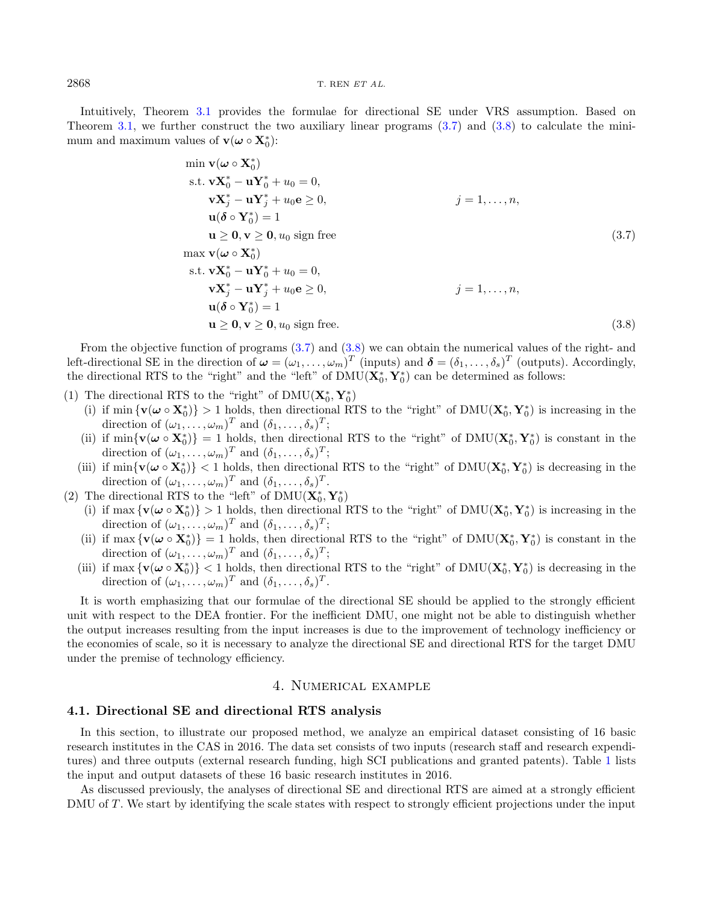#### $2868$  T. REN  $ETAL$ .

Intuitively, Theorem [3.1](#page-5-2) provides the formulae for directional SE under VRS assumption. Based on Theorem [3.1,](#page-5-2) we further construct the two auxiliary linear programs  $(3.7)$  and  $(3.8)$  to calculate the minimum and maximum values of  $\mathbf{v}(\boldsymbol{\omega} \circ \mathbf{X}_0^*)$ :

<span id="page-7-2"></span><span id="page-7-1"></span>
$$
\min \mathbf{v}(\omega \circ \mathbf{X}_{0}^{*})
$$
\n
$$
\text{s.t. } \mathbf{v} \mathbf{X}_{0}^{*} - \mathbf{u} \mathbf{Y}_{0}^{*} + u_{0} = 0,
$$
\n
$$
\mathbf{v} \mathbf{X}_{j}^{*} - \mathbf{u} \mathbf{Y}_{j}^{*} + u_{0} \mathbf{e} \geq 0,
$$
\n
$$
\mathbf{u}(\delta \circ \mathbf{Y}_{0}^{*}) = 1
$$
\n
$$
\mathbf{u} \geq \mathbf{0}, \mathbf{v} \geq \mathbf{0}, u_{0} \text{ sign free}
$$
\n
$$
\max \mathbf{v}(\omega \circ \mathbf{X}_{0}^{*})
$$
\n
$$
\text{s.t. } \mathbf{v} \mathbf{X}_{0}^{*} - \mathbf{u} \mathbf{Y}_{0}^{*} + u_{0} = 0,
$$
\n
$$
\mathbf{v} \mathbf{X}_{j}^{*} - \mathbf{u} \mathbf{Y}_{j}^{*} + u_{0} \mathbf{e} \geq 0,
$$
\n
$$
\mathbf{u}(\delta \circ \mathbf{Y}_{0}^{*}) = 1
$$
\n
$$
\mathbf{u} \geq \mathbf{0}, \mathbf{v} \geq \mathbf{0}, u_{0} \text{ sign free.}
$$
\n(3.8)

From the objective function of programs [\(3.7\)](#page-7-1) and [\(3.8\)](#page-7-2) we can obtain the numerical values of the right- and left-directional SE in the direction of  $\boldsymbol{\omega} = (\omega_1, \dots, \omega_m)^T$  (inputs) and  $\boldsymbol{\delta} = (\delta_1, \dots, \delta_s)^T$  (outputs). Accordingly, the directional RTS to the "right" and the "left" of  $\text{DMU}(\mathbf{X}_0^*, \mathbf{Y}_0^*)$  can be determined as follows:

- (1) The directional RTS to the "right" of  $\rm DMU(\mathbf{X}^*_0, \mathbf{Y}^*_0)$ 
	- (i) if min  $\{v(\omega \circ X_0^*)\} > 1$  holds, then directional RTS to the "right" of DMU( $X_0^*, Y_0^*$ ) is increasing in the If  $\lim_{\Omega \to \infty} \{v(\omega \circ \mathbf{X}_0) \} > 1$  holds, then directional K15 to the Tight of  $DMC(\mathbf{X}_0, \mathbf{1}_0)$ <br>direction of  $(\omega_1, \dots, \omega_m)^T$  and  $(\delta_1, \dots, \delta_s)^T$ ;
	- (ii) if  $\min\{v(\omega \circ X_0^*)\} = 1$  holds, then directional RTS to the "right" of DMU( $X_0^*, Y_0^*$ ) is constant in the direction of  $(\omega_1, \ldots, \omega_m)^T$  and  $(\delta_1, \ldots, \delta_s)^T$ ;
	- (iii) if  $\min\{v(\omega \circ X_0^*)\} < 1$  holds, then directional RTS to the "right" of  $DMU(X_0^*, Y_0^*)$  is decreasing in the direction of  $(\omega_1, \ldots, \omega_m)^T$  and  $(\delta_1, \ldots, \delta_s)^T$ .
- (2) The directional RTS to the "left" of  $\mathrm{DMU}(\mathbf{X}_0^*,\mathbf{Y}_0^*)$ 
	- (i) if  $\max \{ \mathbf{v}(\boldsymbol{\omega} \circ \mathbf{X}_0^*) \} > 1$  holds, then directional RTS to the "right" of  $\text{DMU}(\mathbf{X}_0^*, \mathbf{Y}_0^*)$  is increasing in the direction of  $(\omega_1, \ldots, \omega_m)^T$  and  $(\delta_1, \ldots, \delta_s)^T$ ;
	- (ii) if max  $\{v(\omega \circ X_0^*)\} = 1$  holds, then directional RTS to the "right" of DMU( $X_0^*, Y_0^*$ ) is constant in the direction of  $(\omega_1, \ldots, \omega_m)^T$  and  $(\delta_1, \ldots, \delta_s)^T$ ;
	- (iii) if  $\max \{ \mathbf{v}(\boldsymbol{\omega} \circ \mathbf{X}_0^*) \} < 1$  holds, then directional RTS to the "right" of  $\text{DMU}(\mathbf{X}_0^*, \mathbf{Y}_0^*)$  is decreasing in the direction of  $(\omega_1, \ldots, \omega_m)^T$  and  $(\delta_1, \ldots, \delta_s)^T$ .

It is worth emphasizing that our formulae of the directional SE should be applied to the strongly efficient unit with respect to the DEA frontier. For the inefficient DMU, one might not be able to distinguish whether the output increases resulting from the input increases is due to the improvement of technology inefficiency or the economies of scale, so it is necessary to analyze the directional SE and directional RTS for the target DMU under the premise of technology efficiency.

### 4. Numerical example

#### <span id="page-7-0"></span>4.1. Directional SE and directional RTS analysis

In this section, to illustrate our proposed method, we analyze an empirical dataset consisting of 16 basic research institutes in the CAS in 2016. The data set consists of two inputs (research staff and research expenditures) and three outputs (external research funding, high SCI publications and granted patents). Table [1](#page-8-0) lists the input and output datasets of these 16 basic research institutes in 2016.

As discussed previously, the analyses of directional SE and directional RTS are aimed at a strongly efficient DMU of T. We start by identifying the scale states with respect to strongly efficient projections under the input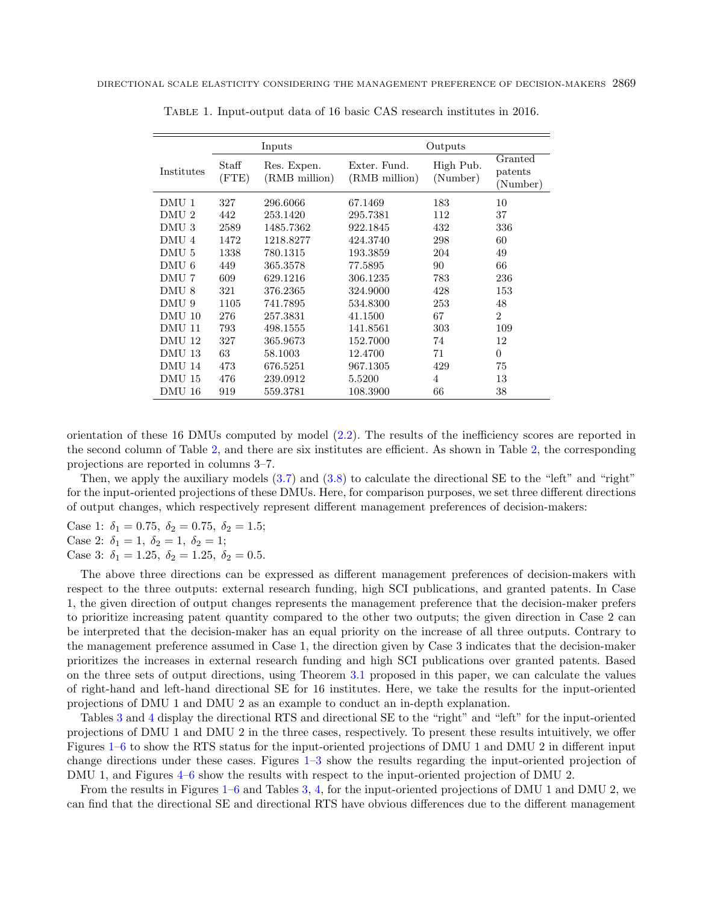|                       |                | Inputs                       | Outputs                       |                       |                                |
|-----------------------|----------------|------------------------------|-------------------------------|-----------------------|--------------------------------|
| Institutes            | Staff<br>(FTE) | Res. Expen.<br>(RMB million) | Exter. Fund.<br>(RMB million) | High Pub.<br>(Number) | Granted<br>patents<br>(Number) |
| DMU 1                 | 327            | 296.6066                     | 67.1469                       | 183                   | 10                             |
| DMU <sub>2</sub>      | 442            | 253.1420                     | 295.7381                      | 112                   | 37                             |
| DMU <sub>3</sub>      | 2589           | 1485.7362                    | 922.1845                      | 432                   | 336                            |
| DMU<br>$\overline{A}$ | 1472           | 1218.8277                    | 424.3740                      | 298                   | 60                             |
| DMU <sub>5</sub>      | 1338           | 780.1315                     | 193.3859                      | 204                   | 49                             |
| DMU <sub>6</sub>      | 449            | 365.3578                     | 77.5895                       | 90                    | 66                             |
| DMU 7                 | 609            | 629.1216                     | 306.1235                      | 783                   | 236                            |
| DMU 8                 | 321            | 376.2365                     | 324.9000                      | 428                   | 153                            |
| DMU 9                 | 1105           | 741.7895                     | 534.8300                      | 253                   | 48                             |
| DMU 10                | 276            | 257.3831                     | 41.1500                       | 67                    | $\overline{2}$                 |
| DMU 11                | 793            | 498.1555                     | 141.8561                      | 303                   | 109                            |
| DMU 12                | 327            | 365.9673                     | 152.7000                      | 74                    | 12                             |
| DMU 13                | 63             | 58.1003                      | 12.4700                       | 71                    | $\Omega$                       |
| DMU 14                | 473            | 676.5251                     | 967.1305                      | 429                   | 75                             |
| DMU 15                | 476            | 239.0912                     | 5.5200                        | $\overline{4}$        | 13                             |
| DMU 16                | 919            | 559.3781                     | 108.3900                      | 66                    | 38                             |

<span id="page-8-0"></span>Table 1. Input-output data of 16 basic CAS research institutes in 2016.

orientation of these 16 DMUs computed by model [\(2.2\)](#page-2-1). The results of the inefficiency scores are reported in the second column of Table [2,](#page-9-0) and there are six institutes are efficient. As shown in Table [2,](#page-9-0) the corresponding projections are reported in columns 3–7.

Then, we apply the auxiliary models [\(3.7\)](#page-7-1) and [\(3.8\)](#page-7-2) to calculate the directional SE to the "left" and "right" for the input-oriented projections of these DMUs. Here, for comparison purposes, we set three different directions of output changes, which respectively represent different management preferences of decision-makers:

Case 1:  $\delta_1 = 0.75, \delta_2 = 0.75, \delta_2 = 1.5;$ Case 2:  $\delta_1 = 1, \ \delta_2 = 1, \ \delta_2 = 1;$ Case 3:  $\delta_1 = 1.25, \ \delta_2 = 1.25, \ \delta_2 = 0.5.$ 

The above three directions can be expressed as different management preferences of decision-makers with respect to the three outputs: external research funding, high SCI publications, and granted patents. In Case 1, the given direction of output changes represents the management preference that the decision-maker prefers to prioritize increasing patent quantity compared to the other two outputs; the given direction in Case 2 can be interpreted that the decision-maker has an equal priority on the increase of all three outputs. Contrary to the management preference assumed in Case 1, the direction given by Case 3 indicates that the decision-maker prioritizes the increases in external research funding and high SCI publications over granted patents. Based on the three sets of output directions, using Theorem [3.1](#page-5-2) proposed in this paper, we can calculate the values of right-hand and left-hand directional SE for 16 institutes. Here, we take the results for the input-oriented projections of DMU 1 and DMU 2 as an example to conduct an in-depth explanation.

Tables [3](#page-10-0) and [4](#page-11-0) display the directional RTS and directional SE to the "right" and "left" for the input-oriented projections of DMU 1 and DMU 2 in the three cases, respectively. To present these results intuitively, we offer Figures [1–](#page-12-0)[6](#page-14-0) to show the RTS status for the input-oriented projections of DMU 1 and DMU 2 in different input change directions under these cases. Figures [1–](#page-12-0)[3](#page-13-0) show the results regarding the input-oriented projection of DMU 1, and Figures  $4-6$  $4-6$  show the results with respect to the input-oriented projection of DMU 2.

From the results in Figures [1–](#page-12-0)[6](#page-14-0) and Tables [3,](#page-10-0) [4,](#page-11-0) for the input-oriented projections of DMU 1 and DMU 2, we can find that the directional SE and directional RTS have obvious differences due to the different management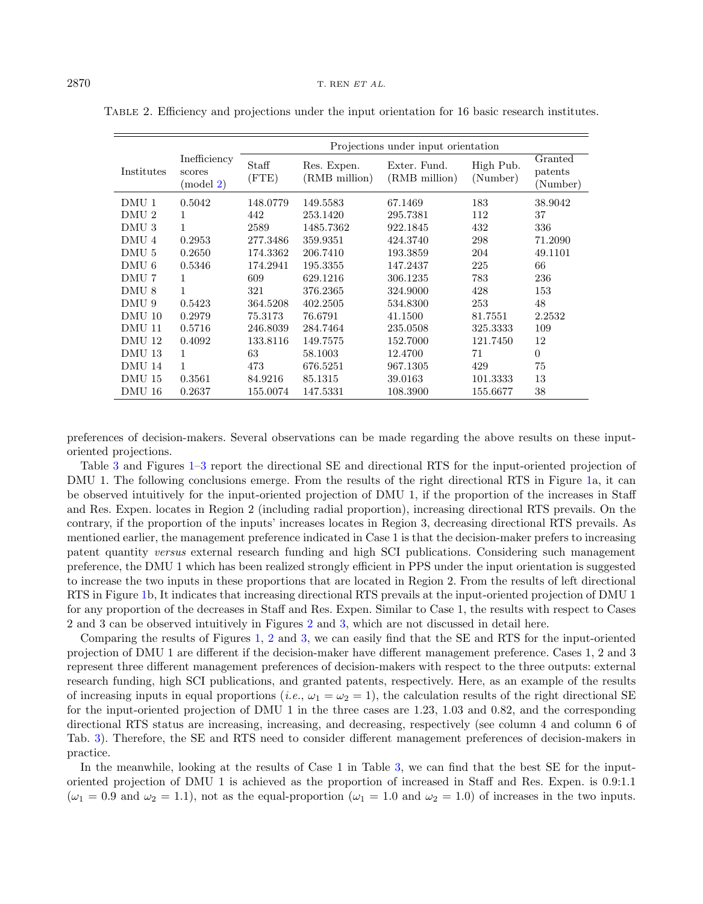|                  |                                      | Projections under input orientation |                              |                               |                       |                                |  |  |
|------------------|--------------------------------------|-------------------------------------|------------------------------|-------------------------------|-----------------------|--------------------------------|--|--|
| Institutes       | Inefficiency<br>scores<br>$\pmod{2}$ | Staff<br>(FTE)                      | Res. Expen.<br>(RMB million) | Exter. Fund.<br>(RMB million) | High Pub.<br>(Number) | Granted<br>patents<br>(Number) |  |  |
| DMU 1            | 0.5042                               | 148.0779                            | 149.5583                     | 67.1469                       | 183                   | 38.9042                        |  |  |
| DMU <sub>2</sub> | 1                                    | 442                                 | 253.1420                     | 295.7381                      | 112                   | 37                             |  |  |
| DMU <sub>3</sub> | $\mathbf{1}$                         | 2589                                | 1485.7362                    | 922.1845                      | 432                   | 336                            |  |  |
| DMU <sub>4</sub> | 0.2953                               | 277.3486                            | 359.9351                     | 424.3740                      | 298                   | 71.2090                        |  |  |
| DMU <sub>5</sub> | 0.2650                               | 174.3362                            | 206.7410                     | 193.3859                      | 204                   | 49.1101                        |  |  |
| DMU <sub>6</sub> | 0.5346                               | 174.2941                            | 195.3355                     | 147.2437                      | 225                   | 66                             |  |  |
| DMU 7            | 1                                    | 609                                 | 629.1216                     | 306.1235                      | 783                   | 236                            |  |  |
| DMU <sub>8</sub> | $\mathbf{1}$                         | 321                                 | 376.2365                     | 324.9000                      | 428                   | 153                            |  |  |
| DMU 9            | 0.5423                               | 364.5208                            | 402.2505                     | 534.8300                      | 253                   | 48                             |  |  |
| DMU 10           | 0.2979                               | 75.3173                             | 76.6791                      | 41.1500                       | 81.7551               | 2.2532                         |  |  |
| DMU 11           | 0.5716                               | 246.8039                            | 284.7464                     | 235.0508                      | 325.3333              | 109                            |  |  |
| DMU 12           | 0.4092                               | 133.8116                            | 149.7575                     | 152.7000                      | 121.7450              | 12                             |  |  |
| DMU 13           | 1                                    | 63                                  | 58.1003                      | 12.4700                       | 71                    | $\Omega$                       |  |  |
| DMU 14           | 1                                    | 473                                 | 676.5251                     | 967.1305                      | 429                   | 75                             |  |  |
| DMU 15           | 0.3561                               | 84.9216                             | 85.1315                      | 39.0163                       | 101.3333              | 13                             |  |  |
| DMU 16           | 0.2637                               | 155.0074                            | 147.5331                     | 108.3900                      | 155.6677              | 38                             |  |  |

<span id="page-9-0"></span>Table 2. Efficiency and projections under the input orientation for 16 basic research institutes.

preferences of decision-makers. Several observations can be made regarding the above results on these inputoriented projections.

Table [3](#page-10-0) and Figures [1–](#page-12-0)[3](#page-13-0) report the directional SE and directional RTS for the input-oriented projection of DMU 1. The following conclusions emerge. From the results of the right directional RTS in Figure [1a](#page-12-0), it can be observed intuitively for the input-oriented projection of DMU 1, if the proportion of the increases in Staff and Res. Expen. locates in Region 2 (including radial proportion), increasing directional RTS prevails. On the contrary, if the proportion of the inputs' increases locates in Region 3, decreasing directional RTS prevails. As mentioned earlier, the management preference indicated in Case 1 is that the decision-maker prefers to increasing patent quantity versus external research funding and high SCI publications. Considering such management preference, the DMU 1 which has been realized strongly efficient in PPS under the input orientation is suggested to increase the two inputs in these proportions that are located in Region 2. From the results of left directional RTS in Figure [1b](#page-12-0), It indicates that increasing directional RTS prevails at the input-oriented projection of DMU 1 for any proportion of the decreases in Staff and Res. Expen. Similar to Case 1, the results with respect to Cases 2 and 3 can be observed intuitively in Figures [2](#page-12-1) and [3,](#page-13-0) which are not discussed in detail here.

Comparing the results of Figures [1,](#page-12-0) [2](#page-12-1) and [3,](#page-13-0) we can easily find that the SE and RTS for the input-oriented projection of DMU 1 are different if the decision-maker have different management preference. Cases 1, 2 and 3 represent three different management preferences of decision-makers with respect to the three outputs: external research funding, high SCI publications, and granted patents, respectively. Here, as an example of the results of increasing inputs in equal proportions (*i.e.*,  $\omega_1 = \omega_2 = 1$ ), the calculation results of the right directional SE for the input-oriented projection of DMU 1 in the three cases are 1.23, 1.03 and 0.82, and the corresponding directional RTS status are increasing, increasing, and decreasing, respectively (see column 4 and column 6 of Tab. [3\)](#page-10-0). Therefore, the SE and RTS need to consider different management preferences of decision-makers in practice.

In the meanwhile, looking at the results of Case 1 in Table [3,](#page-10-0) we can find that the best SE for the inputoriented projection of DMU 1 is achieved as the proportion of increased in Staff and Res. Expen. is 0.9:1.1  $(\omega_1 = 0.9 \text{ and } \omega_2 = 1.1)$ , not as the equal-proportion  $(\omega_1 = 1.0 \text{ and } \omega_2 = 1.0)$  of increases in the two inputs.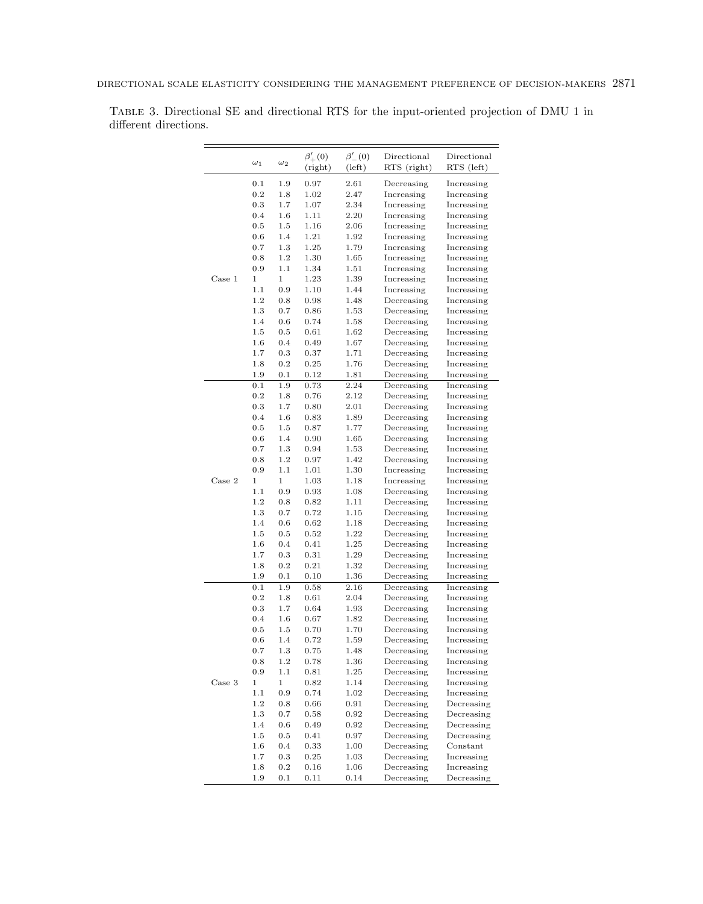|        | $\omega_1$  | $\omega_2$   | $\beta'_{+}(0)$<br>(right) | $\beta'_{-}(0)$<br>(left) | Directional<br>RTS (right) | Directional<br>RTS (left) |
|--------|-------------|--------------|----------------------------|---------------------------|----------------------------|---------------------------|
|        | 0.1         | 1.9          | 0.97                       | 2.61                      | Decreasing                 |                           |
|        | 0.2         | 1.8          | 1.02                       | 2.47                      | Increasing                 | Increasing<br>Increasing  |
|        | 0.3         | 1.7          | 1.07                       | 2.34                      | Increasing                 | Increasing                |
|        | 0.4         | $1.6\,$      | 1.11                       | 2.20                      | Increasing                 | Increasing                |
|        | 0.5         | 1.5          | 1.16                       | 2.06                      | Increasing                 | Increasing                |
|        | 0.6         | 1.4          | 1.21                       | 1.92                      | Increasing                 | Increasing                |
|        | 0.7         | 1.3          | 1.25                       | 1.79                      | Increasing                 | Increasing                |
|        | 0.8         | 1.2          | 1.30                       | 1.65                      | Increasing                 | Increasing                |
|        | 0.9         | 1.1          | 1.34                       | 1.51                      | Increasing                 | Increasing                |
| Case 1 | 1           | $\mathbf{1}$ | 1.23                       | 1.39                      | Increasing                 | Increasing                |
|        | 1.1         | 0.9          | 1.10                       | 1.44                      | Increasing                 | Increasing                |
|        | 1.2         | 0.8          | 0.98                       | 1.48                      | Decreasing                 | Increasing                |
|        | 1.3         | 0.7          | 0.86                       | 1.53                      | Decreasing                 | Increasing                |
|        | 1.4         | 0.6          | 0.74                       | 1.58                      | Decreasing                 | Increasing                |
|        | 1.5         | 0.5          | 0.61                       | 1.62                      | Decreasing                 | Increasing                |
|        |             |              |                            |                           |                            |                           |
|        | $1.6\,$     | 0.4          | 0.49                       | 1.67                      | Decreasing                 | Increasing                |
|        | 1.7         | 0.3          | 0.37                       | 1.71                      | Decreasing                 | Increasing                |
|        | 1.8         | 0.2          | 0.25                       | 1.76                      | Decreasing                 | Increasing                |
|        | 1.9         | 0.1          | 0.12                       | 1.81                      | Decreasing                 | Increasing                |
|        | 0.1         | 1.9          | 0.73                       | 2.24                      | Decreasing                 | Increasing                |
|        | 0.2         | 1.8          | 0.76                       | 2.12                      | Decreasing                 | Increasing                |
|        | 0.3         | 1.7          | 0.80                       | 2.01                      | Decreasing                 | Increasing                |
|        | 0.4         | 1.6          | 0.83                       | 1.89                      | Decreasing                 | Increasing                |
|        | 0.5         | 1.5          | 0.87                       | 1.77                      | Decreasing                 | Increasing                |
|        | 0.6         | 1.4          | 0.90                       | 1.65                      | Decreasing                 | Increasing                |
|        | 0.7         | 1.3          | 0.94                       | 1.53                      | Decreasing                 | Increasing                |
|        | 0.8         | 1.2          | 0.97                       | 1.42                      | Decreasing                 | Increasing                |
|        | 0.9         | 1.1          | 1.01                       | 1.30                      | Increasing                 | Increasing                |
| Case 2 | 1           | 1            | 1.03                       | 1.18                      | Increasing                 | Increasing                |
|        | 1.1         | 0.9          | 0.93                       | 1.08                      | Decreasing                 | Increasing                |
|        | 1.2         | 0.8          | 0.82                       | 1.11                      | Decreasing                 | Increasing                |
|        | 1.3         | 0.7          | 0.72                       | 1.15                      | Decreasing                 | Increasing                |
|        | 1.4         | 0.6          | 0.62                       | 1.18                      | Decreasing                 | Increasing                |
|        | 1.5         | 0.5          | 0.52                       | 1.22                      | Decreasing                 | Increasing                |
|        | $1.6\,$     | 0.4          | 0.41                       | 1.25                      | Decreasing                 | Increasing                |
|        | 1.7         | 0.3          | 0.31                       | 1.29                      | Decreasing                 | Increasing                |
|        | 1.8         | 0.2          | 0.21                       | 1.32                      | Decreasing                 | Increasing                |
|        | 1.9         | 0.1          | 0.10                       | 1.36                      | Decreasing                 | Increasing                |
|        | 0.1         | 1.9          | 0.58                       | 2.16                      | Decreasing                 | Increasing                |
|        | 0.2         | 1.8          | 0.61                       | 2.04                      | Decreasing                 | Increasing                |
|        | 0.3         | 1.7          | 0.64                       | 1.93                      | Decreasing                 | Increasing                |
|        | 0.4         | $1.6\,$      | 0.67                       | 1.82                      | Decreasing                 | Increasing                |
|        | 0.5         | $1.5\,$      | 0.70                       | 1.70                      | Decreasing                 | Increasing                |
|        | 0.6         | 1.4          | 0.72                       | 1.59                      | Decreasing                 | Increasing                |
|        | 0.7         | 1.3          | 0.75                       | 1.48                      | Decreasing                 | Increasing                |
|        | 0.8         | 1.2          | 0.78                       | 1.36                      | Decreasing                 | Increasing                |
|        | $_{0.9}$    | 1.1          | 0.81                       | 1.25                      | Decreasing                 | Increasing                |
| Case 3 | $\mathbf 1$ | 1            | 0.82                       | 1.14                      | Decreasing                 | Increasing                |
|        | 1.1         | $\rm 0.9$    | 0.74                       | 1.02                      | Decreasing                 | Increasing                |
|        | 1.2         | $0.8\,$      | 0.66                       | 0.91                      | Decreasing                 | Decreasing                |
|        | 1.3         | 0.7          | 0.58                       | 0.92                      | Decreasing                 | Decreasing                |
|        | 1.4         | 0.6          | 0.49                       | 0.92                      | Decreasing                 | Decreasing                |
|        | 1.5         | $0.5\,$      | 0.41                       | 0.97                      | Decreasing                 | Decreasing                |
|        | 1.6         | 0.4          | 0.33                       | 1.00                      | Decreasing                 | Constant                  |
|        | 1.7         | $\rm 0.3$    | 0.25                       | 1.03                      | Decreasing                 | Increasing                |
|        | 1.8         | $\rm 0.2$    | 0.16                       | 1.06                      | Decreasing                 | Increasing                |
|        | 1.9         | 0.1          | 0.11                       | 0.14                      | Decreasing                 | Decreasing                |

<span id="page-10-0"></span>Table 3. Directional SE and directional RTS for the input-oriented projection of DMU 1 in different directions.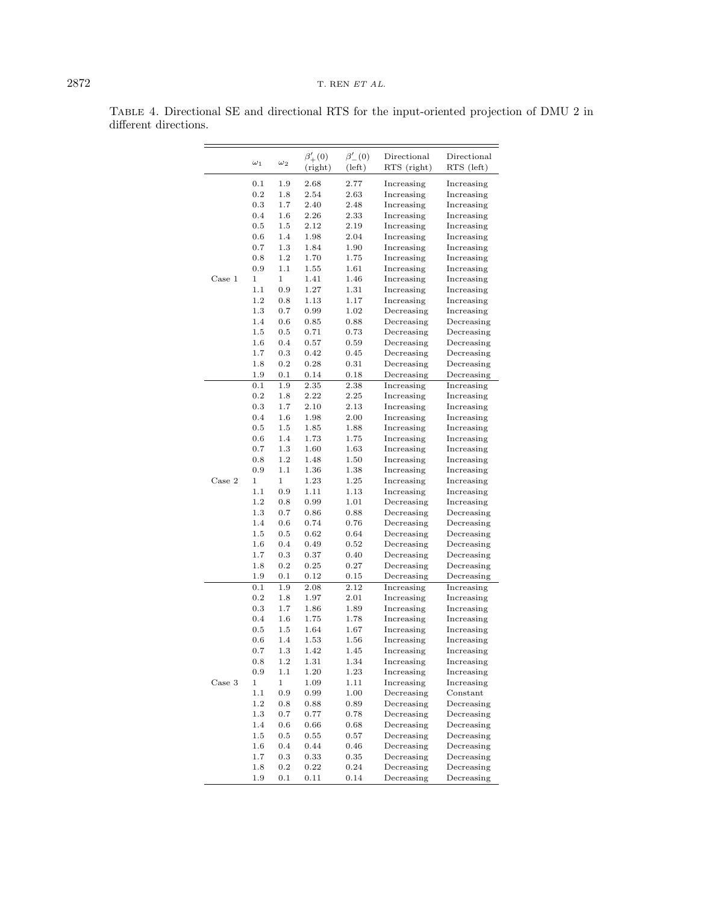|        | $\omega_1$  | $\omega_2$   | $\beta'_{+}(0)$ | $\beta'_{-}(0)$ | Directional | Directional |
|--------|-------------|--------------|-----------------|-----------------|-------------|-------------|
|        |             |              | (right)         | (left)          | RTS (right) | RTS (left)  |
|        | 0.1         | 1.9          | 2.68            | 2.77            | Increasing  | Increasing  |
|        | 0.2         | 1.8          | 2.54            | 2.63            | Increasing  | Increasing  |
|        | 0.3         | 1.7          | 2.40            | 2.48            | Increasing  | Increasing  |
|        | 0.4         | 1.6          | 2.26            | 2.33            | Increasing  | Increasing  |
|        | 0.5         | 1.5          | 2.12            | 2.19            | Increasing  | Increasing  |
|        | 0.6         | 1.4          | 1.98            | 2.04            | Increasing  | Increasing  |
|        | 0.7         | 1.3          | 1.84            | 1.90            | Increasing  | Increasing  |
|        | 0.8         | 1.2          | 1.70            | 1.75            | Increasing  | Increasing  |
|        | 0.9         | 1.1          | 1.55            | 1.61            | Increasing  | Increasing  |
| Case 1 | 1           | $\mathbf 1$  | 1.41            | 1.46            | Increasing  | Increasing  |
|        | 1.1         | 0.9          | 1.27            | 1.31            | Increasing  | Increasing  |
|        | 1.2         | 0.8          | 1.13            | 1.17            | Increasing  | Increasing  |
|        | 1.3         | 0.7          | 0.99            | 1.02            | Decreasing  | Increasing  |
|        | 1.4         | 0.6          | 0.85            | 0.88            | Decreasing  | Decreasing  |
|        | 1.5         | 0.5          | 0.71            | 0.73            | Decreasing  | Decreasing  |
|        | $1.6\,$     | 0.4          | 0.57            | 0.59            | Decreasing  | Decreasing  |
|        | 1.7         | 0.3          | 0.42            | 0.45            | Decreasing  | Decreasing  |
|        | 1.8         | 0.2          | 0.28            | 0.31            | Decreasing  | Decreasing  |
|        | 1.9         | 0.1          | 0.14            | 0.18            | Decreasing  | Decreasing  |
|        | 0.1         | 1.9          | 2.35            | 2.38            | Increasing  | Increasing  |
|        | 0.2         | 1.8          | 2.22            | 2.25            | Increasing  | Increasing  |
|        | 0.3         | 1.7          | 2.10            | 2.13            | Increasing  | Increasing  |
|        | 0.4         | 1.6          | 1.98            | 2.00            | Increasing  | Increasing  |
|        | 0.5         | 1.5          | 1.85            | 1.88            | Increasing  | Increasing  |
|        | 0.6         | 1.4          | 1.73            | 1.75            | Increasing  | Increasing  |
|        | 0.7         | 1.3          | 1.60            | 1.63            | Increasing  | Increasing  |
|        | 0.8         | 1.2          | 1.48            | 1.50            | Increasing  | Increasing  |
|        | 0.9         | 1.1          | 1.36            | 1.38            | Increasing  | Increasing  |
| Case 2 | 1           | $\mathbf{1}$ | 1.23            | 1.25            | Increasing  | Increasing  |
|        | 1.1         | 0.9          | 1.11            | 1.13            | Increasing  | Increasing  |
|        | 1.2         | 0.8          | 0.99            | 1.01            | Decreasing  | Increasing  |
|        | 1.3         | 0.7          | 0.86            | 0.88            | Decreasing  | Decreasing  |
|        | 1.4         | 0.6          | 0.74            | 0.76            | Decreasing  | Decreasing  |
|        | 1.5         | 0.5          | 0.62            | 0.64            | Decreasing  | Decreasing  |
|        | $1.6\,$     | 0.4          | 0.49            | 0.52            | Decreasing  | Decreasing  |
|        | 1.7         | 0.3          | 0.37            | 0.40            | Decreasing  | Decreasing  |
|        | 1.8         | 0.2          | 0.25            | 0.27            | Decreasing  | Decreasing  |
|        | 1.9         | 0.1          | 0.12            | 0.15            | Decreasing  | Decreasing  |
|        | 0.1         | 1.9          | 2.08            | 2.12            | Increasing  | Increasing  |
|        | 0.2         | 1.8          | 1.97            | 2.01            | Increasing  | Increasing  |
|        | 0.3         | 1.7          | 1.86            | 1.89            | Increasing  | Increasing  |
|        | 0.4         | 1.6          | 1.75            | 1.78            | Increasing  | Increasing  |
|        | 0.5         | 1.5          | 1.64            | 1.67            | Increasing  | Increasing  |
|        | 0.6         | 1.4          | 1.53            | 1.56            | Increasing  | Increasing  |
|        | 0.7         | 1.3          | 1.42            | 1.45            | Increasing  | Increasing  |
|        | 0.8         | 1.2          | 1.31            | 1.34            | Increasing  | Increasing  |
|        | $_{0.9}$    | 1.1          |                 | 1.23            | Increasing  |             |
| Case 3 | $\mathbf 1$ | $\,1$        | 1.20            | 1.11            | Increasing  | Increasing  |
|        | 1.1         | 0.9          | 1.09            | 1.00            |             | Increasing  |
|        |             |              | 0.99            |                 | Decreasing  | Constant    |
|        | 1.2         | 0.8          | 0.88            | 0.89            | Decreasing  | Decreasing  |
|        | 1.3         | 0.7          | 0.77            | 0.78            | Decreasing  | Decreasing  |
|        | 1.4         | 0.6          | 0.66            | 0.68            | Decreasing  | Decreasing  |
|        | 1.5         | 0.5          | 0.55            | 0.57            | Decreasing  | Decreasing  |
|        | 1.6         | 0.4          | 0.44            | 0.46            | Decreasing  | Decreasing  |
|        | 1.7         | 0.3          | 0.33            | 0.35            | Decreasing  | Decreasing  |
|        | 1.8         | 0.2          | 0.22            | 0.24            | Decreasing  | Decreasing  |
|        | 1.9         | 0.1          | 0.11            | 0.14            | Decreasing  | Decreasing  |

<span id="page-11-0"></span>Table 4. Directional SE and directional RTS for the input-oriented projection of DMU 2 in different directions.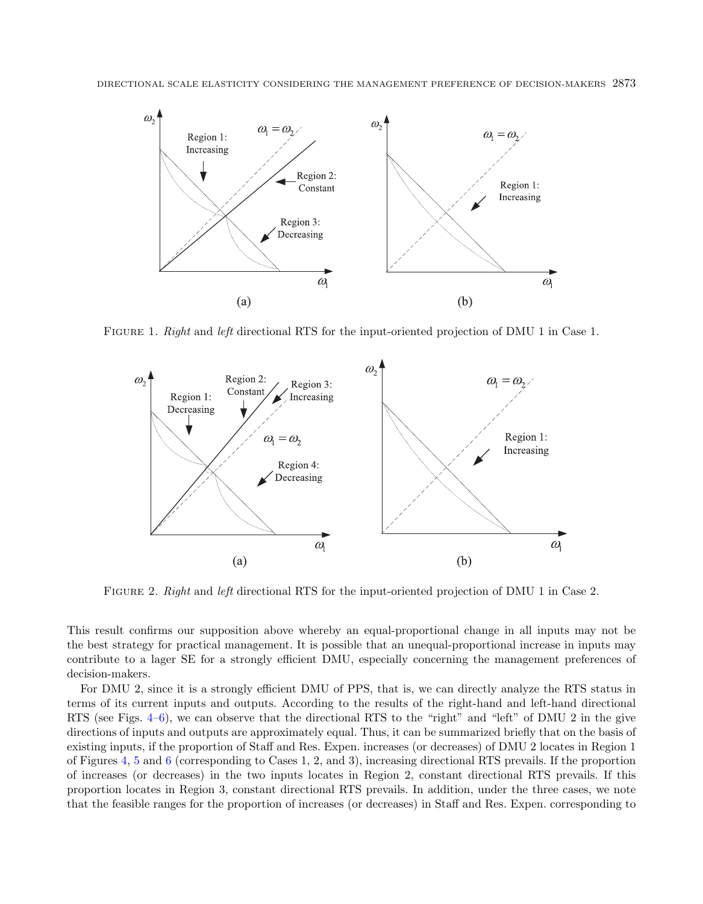<span id="page-12-0"></span>

FIGURE 1. Right and left directional RTS for the input-oriented projection of DMU 1 in Case 1.

<span id="page-12-1"></span>

Figure 2. Right and left directional RTS for the input-oriented projection of DMU 1 in Case 2.

This result confirms our supposition above whereby an equal-proportional change in all inputs may not be the best strategy for practical management. It is possible that an unequal-proportional increase in inputs may contribute to a lager SE for a strongly efficient DMU, especially concerning the management preferences of decision-makers.

For DMU 2, since it is a strongly efficient DMU of PPS, that is, we can directly analyze the RTS status in terms of its current inputs and outputs. According to the results of the right-hand and left-hand directional RTS (see Figs. [4–](#page-13-1)[6\)](#page-14-0), we can observe that the directional RTS to the "right" and "left" of DMU 2 in the give directions of inputs and outputs are approximately equal. Thus, it can be summarized briefly that on the basis of existing inputs, if the proportion of Staff and Res. Expen. increases (or decreases) of DMU 2 locates in Region 1 of Figures [4,](#page-13-1) [5](#page-14-1) and [6](#page-14-0) (corresponding to Cases 1, 2, and 3), increasing directional RTS prevails. If the proportion of increases (or decreases) in the two inputs locates in Region 2, constant directional RTS prevails. If this proportion locates in Region 3, constant directional RTS prevails. In addition, under the three cases, we note that the feasible ranges for the proportion of increases (or decreases) in Staff and Res. Expen. corresponding to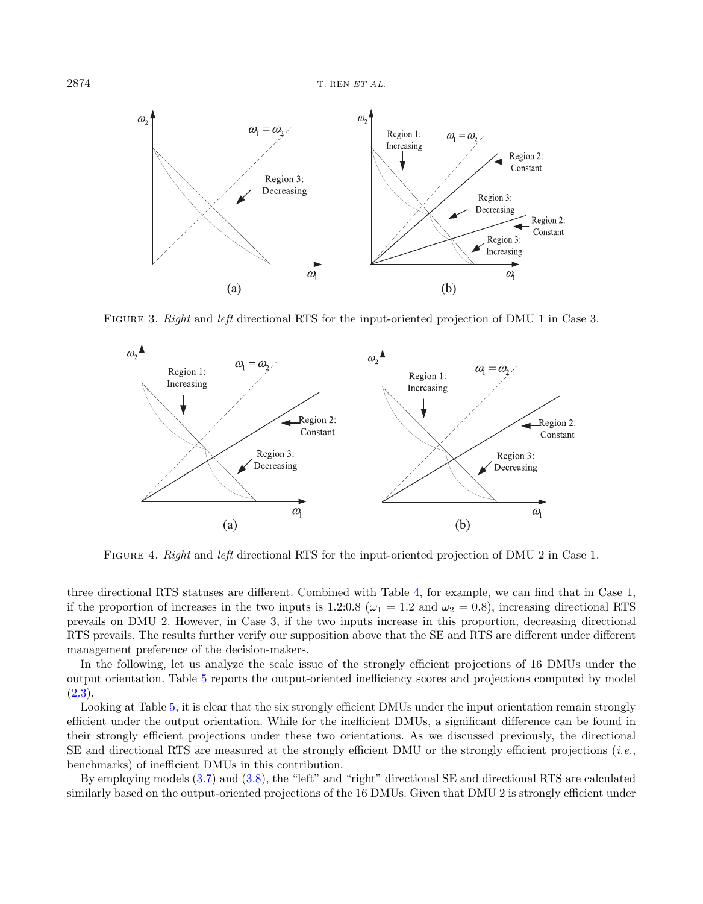$2874$  T. REN ET AL.

<span id="page-13-0"></span>

FIGURE 3. Right and left directional RTS for the input-oriented projection of DMU 1 in Case 3.

<span id="page-13-1"></span>

Figure 4. Right and left directional RTS for the input-oriented projection of DMU 2 in Case 1.

three directional RTS statuses are different. Combined with Table [4,](#page-11-0) for example, we can find that in Case 1, if the proportion of increases in the two inputs is 1.2:0.8 ( $\omega_1 = 1.2$  and  $\omega_2 = 0.8$ ), increasing directional RTS prevails on DMU 2. However, in Case 3, if the two inputs increase in this proportion, decreasing directional RTS prevails. The results further verify our supposition above that the SE and RTS are different under different management preference of the decision-makers.

In the following, let us analyze the scale issue of the strongly efficient projections of 16 DMUs under the output orientation. Table [5](#page-15-0) reports the output-oriented inefficiency scores and projections computed by model  $(2.3).$  $(2.3).$ 

Looking at Table [5,](#page-15-0) it is clear that the six strongly efficient DMUs under the input orientation remain strongly efficient under the output orientation. While for the inefficient DMUs, a significant difference can be found in their strongly efficient projections under these two orientations. As we discussed previously, the directional SE and directional RTS are measured at the strongly efficient DMU or the strongly efficient projections (i.e., benchmarks) of inefficient DMUs in this contribution.

By employing models [\(3.7\)](#page-7-1) and [\(3.8\)](#page-7-2), the "left" and "right" directional SE and directional RTS are calculated similarly based on the output-oriented projections of the 16 DMUs. Given that DMU 2 is strongly efficient under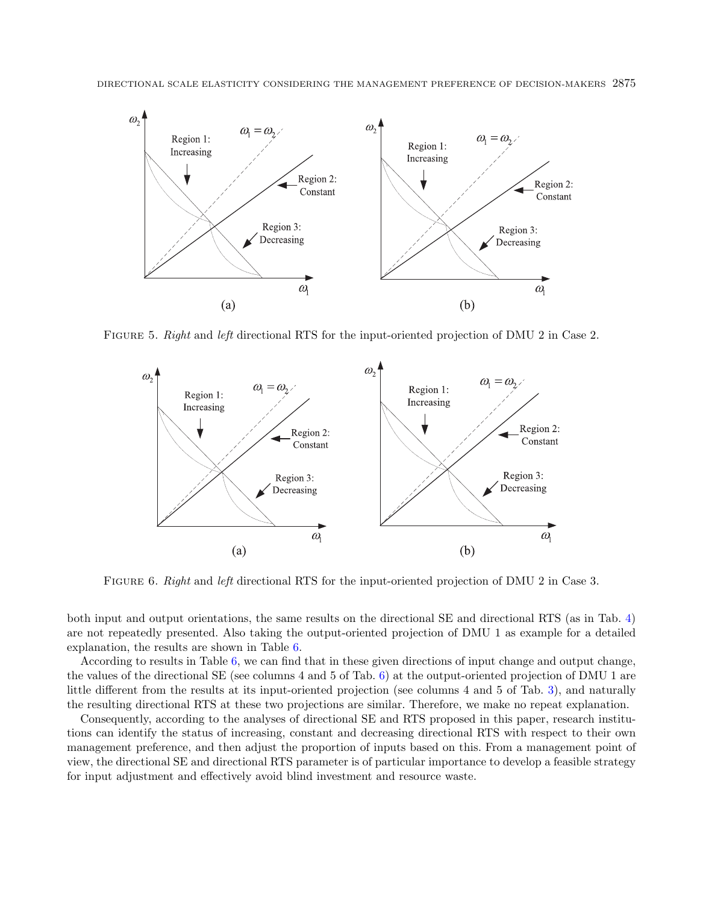<span id="page-14-1"></span>

FIGURE 5. Right and left directional RTS for the input-oriented projection of DMU 2 in Case 2.

<span id="page-14-0"></span>

FIGURE 6. Right and left directional RTS for the input-oriented projection of DMU 2 in Case 3.

both input and output orientations, the same results on the directional SE and directional RTS (as in Tab. [4\)](#page-11-0) are not repeatedly presented. Also taking the output-oriented projection of DMU 1 as example for a detailed explanation, the results are shown in Table [6.](#page-16-0)

According to results in Table [6,](#page-16-0) we can find that in these given directions of input change and output change, the values of the directional SE (see columns 4 and 5 of Tab. [6\)](#page-16-0) at the output-oriented projection of DMU 1 are little different from the results at its input-oriented projection (see columns 4 and 5 of Tab. [3\)](#page-10-0), and naturally the resulting directional RTS at these two projections are similar. Therefore, we make no repeat explanation.

Consequently, according to the analyses of directional SE and RTS proposed in this paper, research institutions can identify the status of increasing, constant and decreasing directional RTS with respect to their own management preference, and then adjust the proportion of inputs based on this. From a management point of view, the directional SE and directional RTS parameter is of particular importance to develop a feasible strategy for input adjustment and effectively avoid blind investment and resource waste.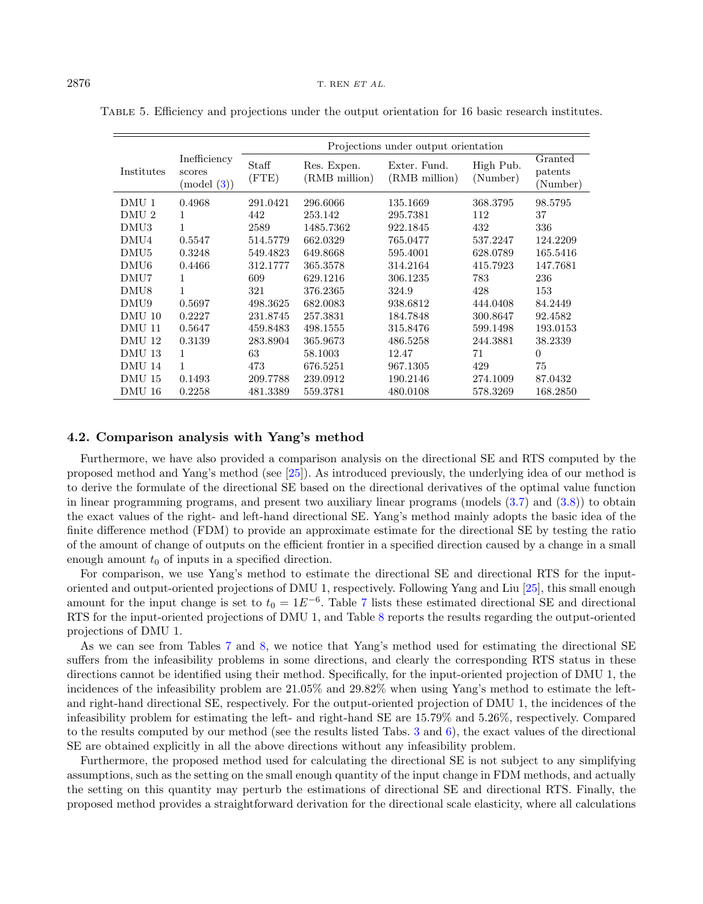|                  |                                     | Projections under output orientation |                              |                               |                       |                                |  |  |
|------------------|-------------------------------------|--------------------------------------|------------------------------|-------------------------------|-----------------------|--------------------------------|--|--|
| Institutes       | Inefficiency<br>scores<br>(mod (3)) | Staff<br>FTE)                        | Res. Expen.<br>(RMB million) | Exter. Fund.<br>(RMB million) | High Pub.<br>(Number) | Granted<br>patents<br>(Number) |  |  |
| DMU 1            | 0.4968                              | 291.0421                             | 296.6066                     | 135.1669                      | 368.3795              | 98.5795                        |  |  |
| DMU <sub>2</sub> | 1                                   | 442                                  | 253.142                      | 295.7381                      | 112                   | 37                             |  |  |
| DMU3             | 1                                   | 2589                                 | 1485.7362                    | 922.1845                      | 432                   | 336                            |  |  |
| DMU4             | 0.5547                              | 514.5779                             | 662.0329                     | 765.0477                      | 537.2247              | 124.2209                       |  |  |
| DMU <sub>5</sub> | 0.3248                              | 549.4823                             | 649.8668                     | 595.4001                      | 628.0789              | 165.5416                       |  |  |
| DMU <sub>6</sub> | 0.4466                              | 312.1777                             | 365.3578                     | 314.2164                      | 415.7923              | 147.7681                       |  |  |
| DMU7             | 1                                   | 609                                  | 629.1216                     | 306.1235                      | 783                   | 236                            |  |  |
| DMU8             | 1                                   | 321                                  | 376.2365                     | 324.9                         | 428                   | 153                            |  |  |
| DMU9             | 0.5697                              | 498.3625                             | 682.0083                     | 938.6812                      | 444.0408              | 84.2449                        |  |  |
| DMU 10           | 0.2227                              | 231.8745                             | 257.3831                     | 184.7848                      | 300.8647              | 92.4582                        |  |  |
| DMU 11           | 0.5647                              | 459.8483                             | 498.1555                     | 315.8476                      | 599.1498              | 193.0153                       |  |  |
| DMU 12           | 0.3139                              | 283.8904                             | 365.9673                     | 486.5258                      | 244.3881              | 38.2339                        |  |  |
| DMU 13           | 1                                   | 63                                   | 58.1003                      | 12.47                         | 71                    | $\Omega$                       |  |  |
| DMU 14           | $\mathbf{1}$                        | 473                                  | 676.5251                     | 967.1305                      | 429                   | 75                             |  |  |
| DMU 15           | 0.1493                              | 209.7788                             | 239.0912                     | 190.2146                      | 274.1009              | 87.0432                        |  |  |
| DMU 16           | 0.2258                              | 481.3389                             | 559.3781                     | 480.0108                      | 578.3269              | 168.2850                       |  |  |

<span id="page-15-0"></span>Table 5. Efficiency and projections under the output orientation for 16 basic research institutes.

#### 4.2. Comparison analysis with Yang's method

Furthermore, we have also provided a comparison analysis on the directional SE and RTS computed by the proposed method and Yang's method (see [\[25\]](#page-20-7)). As introduced previously, the underlying idea of our method is to derive the formulate of the directional SE based on the directional derivatives of the optimal value function in linear programming programs, and present two auxiliary linear programs (models [\(3.7\)](#page-7-1) and [\(3.8\)](#page-7-2)) to obtain the exact values of the right- and left-hand directional SE. Yang's method mainly adopts the basic idea of the finite difference method (FDM) to provide an approximate estimate for the directional SE by testing the ratio of the amount of change of outputs on the efficient frontier in a specified direction caused by a change in a small enough amount  $t_0$  of inputs in a specified direction.

For comparison, we use Yang's method to estimate the directional SE and directional RTS for the inputoriented and output-oriented projections of DMU 1, respectively. Following Yang and Liu [\[25\]](#page-20-7), this small enough amount for the input change is set to  $t_0 = 1E^{-6}$ . Table [7](#page-17-0) lists these estimated directional SE and directional RTS for the input-oriented projections of DMU 1, and Table [8](#page-18-0) reports the results regarding the output-oriented projections of DMU 1.

As we can see from Tables [7](#page-17-0) and [8,](#page-18-0) we notice that Yang's method used for estimating the directional SE suffers from the infeasibility problems in some directions, and clearly the corresponding RTS status in these directions cannot be identified using their method. Specifically, for the input-oriented projection of DMU 1, the incidences of the infeasibility problem are 21.05% and 29.82% when using Yang's method to estimate the leftand right-hand directional SE, respectively. For the output-oriented projection of DMU 1, the incidences of the infeasibility problem for estimating the left- and right-hand SE are 15.79% and 5.26%, respectively. Compared to the results computed by our method (see the results listed Tabs. [3](#page-10-0) and [6\)](#page-16-0), the exact values of the directional SE are obtained explicitly in all the above directions without any infeasibility problem.

Furthermore, the proposed method used for calculating the directional SE is not subject to any simplifying assumptions, such as the setting on the small enough quantity of the input change in FDM methods, and actually the setting on this quantity may perturb the estimations of directional SE and directional RTS. Finally, the proposed method provides a straightforward derivation for the directional scale elasticity, where all calculations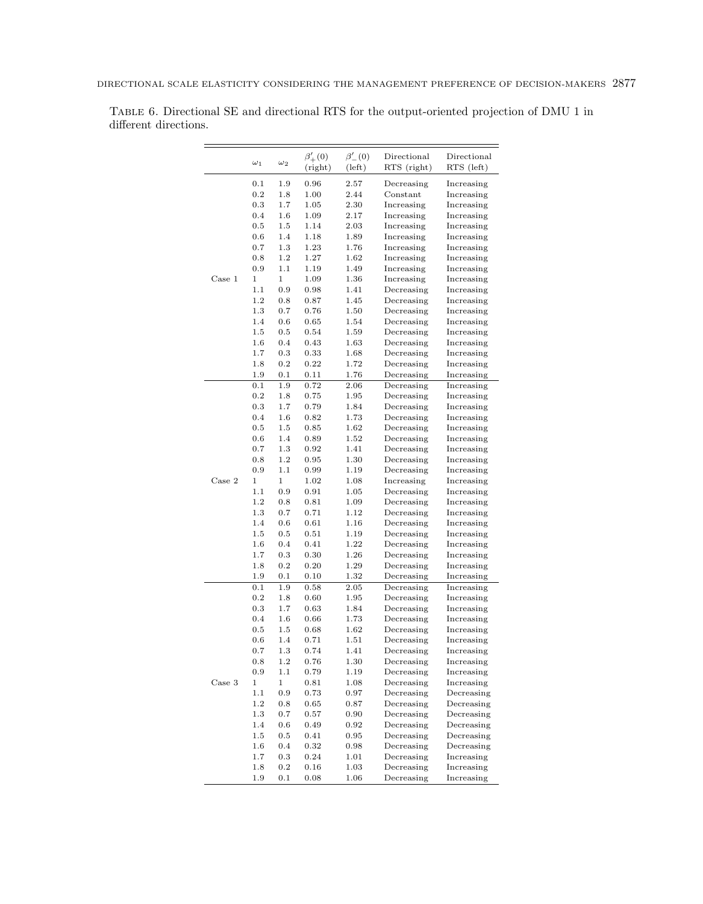|        | $\omega_1$  | $\omega_2$     | $\beta'_{+}(0)$<br>(right) | $\beta'_{-}(0)$<br>(left) | Directional<br>RTS (right) | Directional<br>RTS (left) |
|--------|-------------|----------------|----------------------------|---------------------------|----------------------------|---------------------------|
|        | 0.1         | 1.9            | 0.96                       | 2.57                      | Decreasing                 | Increasing                |
|        | 0.2         | 1.8            | 1.00                       | 2.44                      | Constant                   | Increasing                |
|        | 0.3         | 1.7            | 1.05                       | 2.30                      | Increasing                 | Increasing                |
|        | 0.4         | 1.6            | 1.09                       | 2.17                      | Increasing                 | Increasing                |
|        | 0.5         | 1.5            | 1.14                       | 2.03                      | Increasing                 | Increasing                |
|        | 0.6         | 1.4            | 1.18                       | 1.89                      | Increasing                 | Increasing                |
|        | 0.7         | 1.3            | 1.23                       | 1.76                      | Increasing                 | Increasing                |
|        | 0.8         | 1.2            | 1.27                       | 1.62                      | Increasing                 | Increasing                |
|        | 0.9         | 1.1            | 1.19                       | 1.49                      | Increasing                 | Increasing                |
| Case 1 | 1           | 1              | 1.09                       | 1.36                      | Increasing                 | Increasing                |
|        | 1.1         | 0.9            | 0.98                       | 1.41                      | Decreasing                 | Increasing                |
|        | 1.2         | 0.8            | 0.87                       | 1.45                      | Decreasing                 | Increasing                |
|        | 1.3         | 0.7            | 0.76                       | 1.50                      | Decreasing                 | Increasing                |
|        | 1.4         | $_{0.6}$       | 0.65                       | 1.54                      | Decreasing                 | Increasing                |
|        | 1.5         | 0.5            | 0.54                       | 1.59                      | Decreasing                 | Increasing                |
|        | 1.6         | 0.4            | 0.43                       | 1.63                      | Decreasing                 | Increasing                |
|        | 1.7         | 0.3            | 0.33                       | 1.68                      | Decreasing                 | Increasing                |
|        | 1.8         | 0.2            | 0.22                       | 1.72                      | Decreasing                 | Increasing                |
|        | 1.9         | 0.1            | 0.11                       | 1.76                      | Decreasing                 | Increasing                |
|        | 0.1         | 1.9            | 0.72                       | 2.06                      | Decreasing                 | Increasing                |
|        | 0.2         | 1.8            | 0.75                       | 1.95                      | Decreasing                 | Increasing                |
|        | 0.3         | 1.7            | 0.79                       | 1.84                      | Decreasing                 | Increasing                |
|        | 0.4         | 1.6            | 0.82                       | 1.73                      | Decreasing                 | Increasing                |
|        | 0.5         | 1.5            | 0.85                       | 1.62                      | Decreasing                 | Increasing                |
|        | 0.6         | 1.4            | 0.89                       | 1.52                      | Decreasing                 | Increasing                |
|        | 0.7         | 1.3            | 0.92                       | 1.41                      | Decreasing                 | Increasing                |
|        | 0.8         | 1.2            | 0.95                       | 1.30                      | Decreasing                 | Increasing                |
|        | 0.9         | 1.1            | 0.99                       | 1.19                      | Decreasing                 | Increasing                |
| Case 2 | 1           | $\overline{1}$ | 1.02                       | 1.08                      | Increasing                 | Increasing                |
|        | 1.1         | 0.9            | 0.91                       | 1.05                      | Decreasing                 | Increasing                |
|        | 1.2         | 0.8            | 0.81                       | 1.09                      | Decreasing                 | Increasing                |
|        | 1.3         | 0.7            | 0.71                       | 1.12                      | Decreasing                 | Increasing                |
|        | 1.4         | 0.6            | 0.61                       | 1.16                      | Decreasing                 | Increasing                |
|        | 1.5         | 0.5            | 0.51                       | 1.19                      | Decreasing                 | Increasing                |
|        | 1.6         | 0.4            | 0.41                       | 1.22                      | Decreasing                 | Increasing                |
|        | 1.7         | 0.3            | 0.30                       | 1.26                      | Decreasing                 | Increasing                |
|        | 1.8         | 0.2            | 0.20                       | 1.29                      | Decreasing                 | Increasing                |
|        | 1.9         | 0.1            | 0.10                       | 1.32                      | Decreasing                 | Increasing                |
|        | 0.1         | 1.9            | 0.58                       | 2.05                      | Decreasing                 | Increasing                |
|        | 0.2         | 1.8            | 0.60                       | 1.95                      | Decreasing                 | Increasing                |
|        | 0.3         | 1.7            | 0.63                       | 1.84                      | Decreasing                 | Increasing                |
|        | 0.4         | 1.6            | 0.66                       | 1.73                      | Decreasing                 | Increasing                |
|        | 0.5         | 1.5            | 0.68                       | 1.62                      | Decreasing                 | Increasing                |
|        | 0.6         | 1.4            | 0.71                       | 1.51                      | Decreasing                 | Increasing                |
|        | 0.7         | 1.3            | 0.74                       | 1.41                      | Decreasing                 | Increasing                |
|        | 0.8         | 1.2            | 0.76                       | 1.30                      | Decreasing                 | Increasing                |
|        | 0.9         | 1.1            | 0.79                       | 1.19                      | Decreasing                 | Increasing                |
| Case 3 | $\mathbf 1$ | 1              | 0.81                       | 1.08                      | Decreasing                 | Increasing                |
|        | 1.1         | 0.9            | 0.73                       | 0.97                      | Decreasing                 | Decreasing                |
|        | 1.2         | 0.8            | 0.65                       | 0.87                      | Decreasing                 | Decreasing                |
|        | $1.3\,$     | 0.7            | 0.57                       | 0.90                      | Decreasing                 | Decreasing                |
|        | 1.4         | 0.6            | 0.49                       | 0.92                      | Decreasing                 | Decreasing                |
|        | $1.5\,$     | 0.5            | 0.41                       | 0.95                      | Decreasing                 | Decreasing                |
|        | 1.6         | 0.4            | 0.32                       | 0.98                      | Decreasing                 | Decreasing                |
|        | 1.7         | 0.3            | 0.24                       | 1.01                      | Decreasing                 | Increasing                |
|        | 1.8         | 0.2            | 0.16                       | 1.03                      | Decreasing                 | Increasing                |
|        | 1.9         | 0.1            | 0.08                       | 1.06                      | Decreasing                 | Increasing                |

<span id="page-16-0"></span>Table 6. Directional SE and directional RTS for the output-oriented projection of DMU 1 in different directions.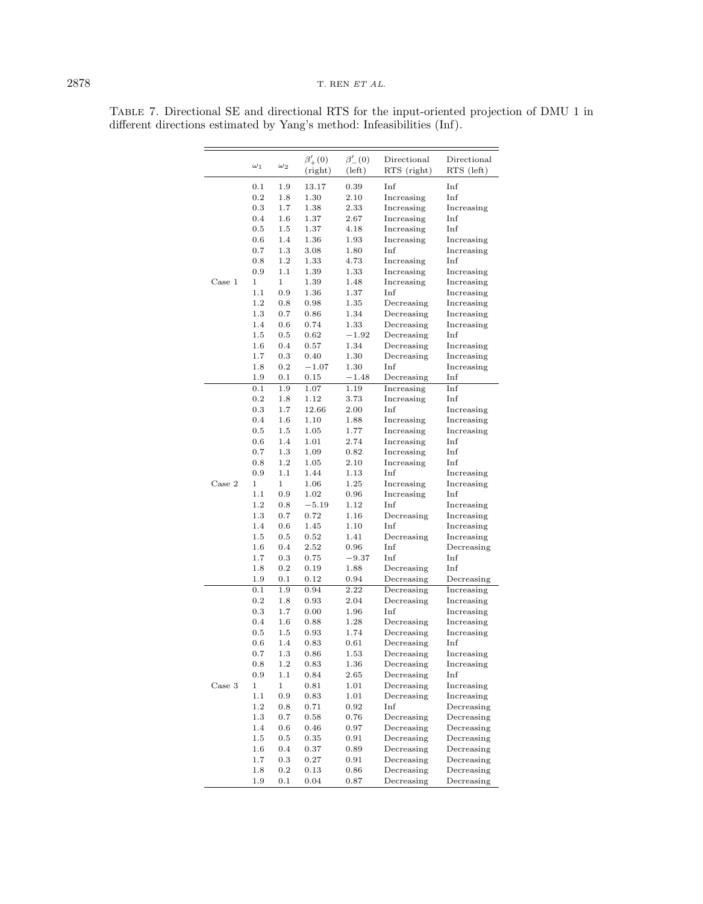# <span id="page-17-0"></span>2878 T. REN $ET$ AL.

|        | $\omega_1$ | $\omega_2$  | $\beta'_{+}(0)$<br>(right) | $\beta'_{-}(0)$<br>(left) | Directional<br>RTS (right) | Directional<br>RTS (left) |
|--------|------------|-------------|----------------------------|---------------------------|----------------------------|---------------------------|
|        | 0.1        | 1.9         | 13.17                      | 0.39                      | Inf                        | Inf                       |
|        | 0.2        | 1.8         | 1.30                       | 2.10                      | Increasing                 | Inf                       |
|        | 0.3        | 1.7         | 1.38                       | 2.33                      | Increasing                 | Increasing                |
|        | 0.4        | $1.6\,$     | 1.37                       | 2.67                      | Increasing                 | Inf                       |
|        | 0.5        | 1.5         | 1.37                       | 4.18                      | Increasing                 | Inf                       |
|        | 0.6        | 1.4         | 1.36                       | 1.93                      | Increasing                 | Increasing                |
|        | 0.7        | 1.3         | 3.08                       | 1.80                      | Inf                        | Increasing                |
|        | 0.8        | 1.2         | 1.33                       | 4.73                      | Increasing                 | Inf                       |
|        | 0.9        | 1.1         | 1.39                       | 1.33                      | Increasing                 | Increasing                |
| Case 1 | 1          | 1           | 1.39                       | 1.48                      | Increasing                 | Increasing                |
|        | 1.1        | 0.9         | 1.36                       | 1.37                      | Inf                        | Increasing                |
|        | 1.2        | 0.8         | 0.98                       | 1.35                      | Decreasing                 | Increasing                |
|        | 1.3        | 0.7         | 0.86                       | 1.34                      | Decreasing                 | Increasing                |
|        | 1.4        | 0.6         | 0.74                       | 1.33                      | Decreasing                 | Increasing                |
|        | 1.5        | 0.5         | 0.62                       | $-1.92$                   | Decreasing                 | Inf                       |
|        | 1.6        | 0.4         | 0.57                       | 1.34                      | Decreasing                 | Increasing                |
|        | 1.7        | 0.3         | 0.40                       | 1.30                      | Decreasing                 | Increasing                |
|        | 1.8        | 0.2         | $-1.07$                    | 1.30                      | Inf                        | Increasing                |
|        | 1.9        | 0.1         | $_{0.15}$                  | $-1.48$                   | Decreasing                 | Inf                       |
|        | 0.1        | 1.9         | 1.07                       | 1.19                      | Increasing                 | Inf                       |
|        | 0.2        | 1.8         | 1.12                       | 3.73                      | Increasing                 | Inf                       |
|        | 0.3        | 1.7         | 12.66                      | 2.00                      | Inf                        | Increasing                |
|        | 0.4        | 1.6         | 1.10                       | 1.88                      | Increasing                 | Increasing                |
|        | 0.5        | 1.5         | 1.05                       | 1.77                      | Increasing                 | Increasing                |
|        | 0.6        | 1.4         | 1.01                       | 2.74                      | Increasing                 | Inf                       |
|        | 0.7        | 1.3         | 1.09                       | 0.82                      | Increasing                 | Inf                       |
|        | 0.8        | 1.2         | 1.05                       | 2.10                      | Increasing                 | Inf                       |
|        | 0.9        | 1.1         | 1.44                       | 1.13                      | Inf                        | Increasing                |
| Case 2 | 1          | $\mathbf 1$ | 1.06                       | 1.25                      | Increasing                 | Increasing                |
|        | 1.1        | 0.9         | 1.02                       | 0.96                      | Increasing                 | Inf                       |
|        | 1.2        | 0.8         | $-5.19$                    | 1.12                      | Inf                        | Increasing                |
|        | 1.3        | 0.7         | 0.72                       | 1.16                      | Decreasing                 | Increasing                |
|        | 1.4        | 0.6         | 1.45                       | 1.10                      | Inf                        | Increasing                |
|        | 1.5        | 0.5         | 0.52                       | 1.41                      | Decreasing                 | Increasing                |
|        | 1.6        | 0.4         | 2.52                       | 0.96                      | Inf                        | Decreasing                |
|        | 1.7        | 0.3         | 0.75                       | $-9.37$                   | Inf                        | Inf                       |
|        | 1.8        | 0.2         | 0.19                       | 1.88                      | Decreasing                 | Inf                       |
|        | 1.9        | 0.1         | 0.12                       | 0.94                      | Decreasing                 | Decreasing                |
|        | 0.1        | 1.9         | 0.94                       | 2.22                      | Decreasing                 | Increasing                |
|        | 0.2        | 1.8         | 0.93                       | 2.04                      | Decreasing                 | Increasing                |
|        | 0.3        | 1.7         | 0.00                       | 1.96                      | Inf                        | Increasing                |
|        | 0.4        | 1.6         | 0.88                       | 1.28                      | Decreasing                 | Increasing                |
|        | 0.5        | 1.5         | 0.93                       | 1.74                      | Decreasing                 | Increasing                |
|        | 0.6        | 1.4         | 0.83                       | 0.61                      | Decreasing                 | Inf                       |
|        | 0.7        | 1.3         | 0.86                       | 1.53                      | Decreasing                 | Increasing                |
|        | 0.8        | 1.2         | 0.83                       | 1.36                      | Decreasing                 | Increasing                |
|        | 0.9        | 1.1         | 0.84                       | 2.65                      | Decreasing                 | Inf                       |
| Case 3 | $\,1$      | $\,1$       |                            |                           |                            |                           |
|        | 1.1        | $0.9\,$     | $_{0.81}$<br>0.83          | 1.01<br>1.01              | Decreasing<br>Decreasing   | Increasing<br>Increasing  |
|        | $1.2\,$    | 0.8         | 0.71                       | 0.92                      | Inf                        | Decreasing                |
|        | $1.3\,$    | 0.7         |                            |                           |                            | Decreasing                |
|        |            |             | 0.58                       | 0.76                      | Decreasing                 |                           |
|        | 1.4        | $0.6\,$     | 0.46                       | 0.97                      | Decreasing                 | Decreasing                |
|        | 1.5        | $\rm 0.5$   | 0.35                       | 0.91                      | Decreasing                 | Decreasing                |
|        | 1.6        | 0.4         | 0.37                       | 0.89                      | Decreasing                 | Decreasing                |
|        | 1.7        | 0.3         | 0.27                       | 0.91                      | Decreasing                 | Decreasing                |
|        | 1.8        | $\rm 0.2$   | 0.13                       | 0.86                      | Decreasing                 | Decreasing                |
|        | 1.9        | 0.1         | 0.04                       | 0.87                      | Decreasing                 | Decreasing                |

Table 7. Directional SE and directional RTS for the input-oriented projection of DMU 1 in different directions estimated by Yang's method: Infeasibilities (Inf).

 $\overline{\phantom{0}}$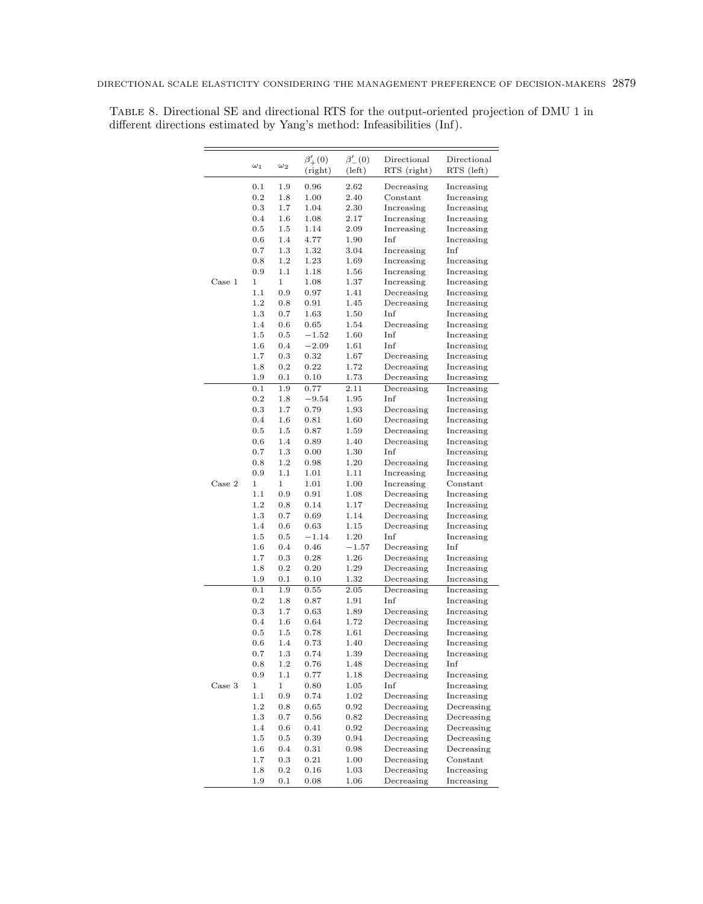|        | $\omega_1$ | $\omega_2$   | $\beta'_{+}(0)$<br>(right) | $\beta'_{-}(0)$<br>$(\text{left})$ | Directional<br>RTS (right) | Directional<br>RTS (left) |
|--------|------------|--------------|----------------------------|------------------------------------|----------------------------|---------------------------|
|        | 0.1        | 1.9          | 0.96                       | 2.62                               | Decreasing                 | Increasing                |
|        | 0.2        | 1.8          | 1.00                       | 2.40                               | Constant                   | Increasing                |
|        | 0.3        | 1.7          | 1.04                       | 2.30                               | Increasing                 | Increasing                |
|        | 0.4        | 1.6          | 1.08                       | 2.17                               | Increasing                 | Increasing                |
|        | 0.5        | 1.5          | 1.14                       | 2.09                               | Increasing                 | Increasing                |
|        | 0.6        | 1.4          | 4.77                       | 1.90                               | Inf                        | Increasing                |
|        | 0.7        | 1.3          | 1.32                       | 3.04                               | Increasing                 | Inf                       |
|        | 0.8        | 1.2          | 1.23                       | 1.69                               | Increasing                 | Increasing                |
|        | 0.9        | 1.1          | 1.18                       | 1.56                               | Increasing                 | Increasing                |
| Case 1 | 1          | $\mathbf{1}$ | 1.08                       | 1.37                               | Increasing                 | Increasing                |
|        | 1.1        | 0.9          | 0.97                       | 1.41                               | Decreasing                 | Increasing                |
|        | 1.2        | 0.8          | 0.91                       | 1.45                               | Decreasing                 | Increasing                |
|        | 1.3        | 0.7          | 1.63                       | 1.50                               | Inf                        | Increasing                |
|        | 1.4        | 0.6          | 0.65                       | 1.54                               | Decreasing                 | Increasing                |
|        | 1.5        | $0.5\,$      | $-1.52$                    | 1.60                               | Inf                        | Increasing                |
|        | $1.6\,$    | 0.4          | $-2.09$                    | 1.61                               | Inf                        | Increasing                |
|        | 1.7        | 0.3          | 0.32                       | 1.67                               | Decreasing                 | Increasing                |
|        | 1.8        | 0.2          | 0.22                       | 1.72                               | Decreasing                 | Increasing                |
|        | 1.9        | 0.1          | 0.10                       | 1.73                               | Decreasing                 | Increasing                |
|        | 0.1        | 1.9          | 0.77                       | 2.11                               | Decreasing                 | Increasing                |
|        | 0.2        | 1.8          | $-9.54$                    | 1.95                               | Inf                        | Increasing                |
|        | 0.3        | 1.7          | 0.79                       | 1.93                               | Decreasing                 | Increasing                |
|        | 0.4        | 1.6          | 0.81                       | 1.60                               | Decreasing                 | Increasing                |
|        | 0.5        | 1.5          | 0.87                       | 1.59                               | Decreasing                 | Increasing                |
|        | 0.6        | 1.4          | 0.89                       | 1.40                               | Decreasing                 | Increasing                |
|        | 0.7        | 1.3          | 0.00                       | 1.30                               | Inf                        | Increasing                |
|        | 0.8        | 1.2          | 0.98                       | 1.20                               | Decreasing                 | Increasing                |
|        | 0.9        | 1.1          | 1.01                       | 1.11                               | Increasing                 | Increasing                |
| Case 2 | 1          | $\mathbf{1}$ | 1.01                       | 1.00                               | Increasing                 | Constant                  |
|        | 1.1        | 0.9          | 0.91                       | 1.08                               | Decreasing                 | Increasing                |
|        | 1.2        | 0.8          | 0.14                       | 1.17                               | Decreasing                 | Increasing                |
|        | 1.3        | 0.7          | 0.69                       | 1.14                               | Decreasing                 | Increasing                |
|        | 1.4        | 0.6          | 0.63                       | 1.15                               | Decreasing                 | Increasing                |
|        | 1.5        | 0.5          | $-1.14$                    | 1.20                               | Inf                        | Increasing                |
|        | $1.6\,$    | 0.4          | 0.46                       | $-1.57$                            | Decreasing                 | Inf                       |
|        | 1.7        | 0.3          | 0.28                       | 1.26                               | Decreasing                 | Increasing                |
|        | 1.8        | 0.2          | 0.20                       | 1.29                               | Decreasing                 | Increasing                |
|        | 1.9        | 0.1          | 0.10                       | 1.32                               | Decreasing                 | Increasing                |
|        | 0.1        | 1.9          |                            | 2.05                               | Decreasing                 |                           |
|        | 0.2        | 1.8          | 0.55<br>0.87               | 1.91                               | Inf                        | Increasing<br>Increasing  |
|        | 0.3        | 1.7          | 0.63                       | 1.89                               | Decreasing                 | Increasing                |
|        | 0.4        | 1.6          | 0.64                       | 1.72                               | Decreasing                 | Increasing                |
|        | 0.5        | 1.5          | 0.78                       | 1.61                               | Decreasing                 | Increasing                |
|        | 0.6        | 1.4          | 0.73                       | 1.40                               | Decreasing                 | Increasing                |
|        | 0.7        | 1.3          | 0.74                       | 1.39                               |                            |                           |
|        | 0.8        | 1.2          | 0.76                       | 1.48                               | Decreasing                 | Increasing<br>Inf         |
|        | 0.9        | 1.1          | 0.77                       | 1.18                               | Decreasing<br>Decreasing   | Increasing                |
| Case 3 |            |              |                            |                                    |                            |                           |
|        | 1          | 1<br>0.9     | 0.80                       | 1.05<br>1.02                       | Inf                        | Increasing                |
|        | 1.1<br>1.2 |              | 0.74<br>0.65               |                                    | Decreasing<br>Decreasing   | Increasing<br>Decreasing  |
|        |            | 0.8          |                            | 0.92                               |                            |                           |
|        | 1.3        | 0.7          | 0.56                       | 0.82                               | Decreasing                 | Decreasing                |
|        | 1.4        | 0.6          | 0.41                       | 0.92                               | Decreasing                 | Decreasing                |
|        | 1.5        | 0.5          | 0.39                       | 0.94                               | Decreasing                 | Decreasing                |
|        | 1.6        | 0.4          | 0.31                       | 0.98                               | Decreasing                 | Decreasing                |
|        | 1.7        | 0.3          | 0.21                       | 1.00                               | Decreasing                 | Constant                  |
|        | 1.8        | $0.2\,$      | 0.16                       | 1.03                               | Decreasing                 | Increasing                |
|        | 1.9        | 0.1          | 0.08                       | 1.06                               | Decreasing                 | Increasing                |

<span id="page-18-0"></span>Table 8. Directional SE and directional RTS for the output-oriented projection of DMU 1 in different directions estimated by Yang's method: Infeasibilities (Inf).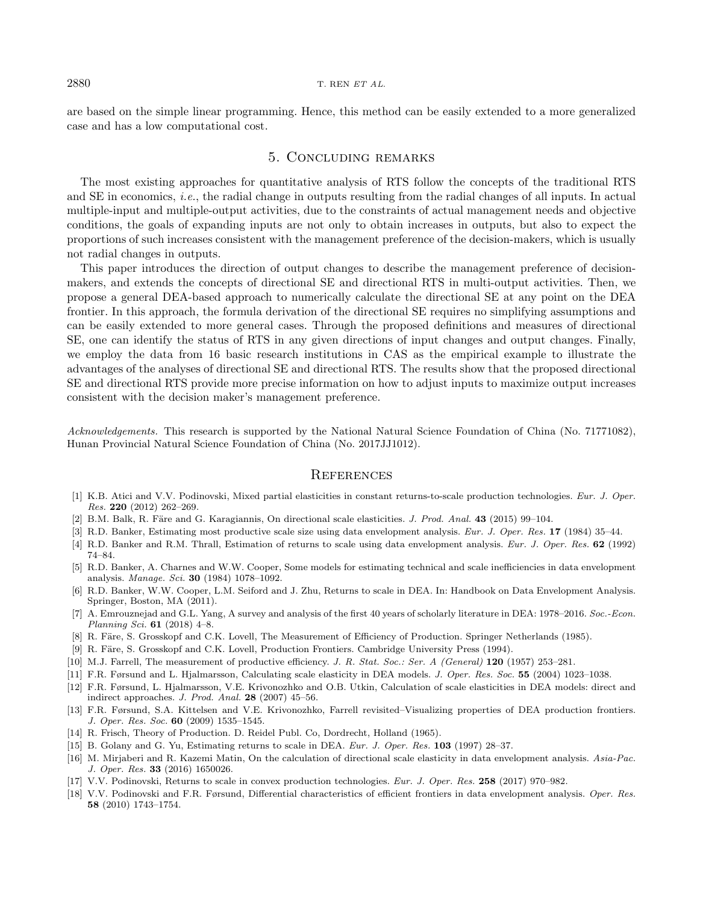are based on the simple linear programming. Hence, this method can be easily extended to a more generalized case and has a low computational cost.

## 5. Concluding remarks

The most existing approaches for quantitative analysis of RTS follow the concepts of the traditional RTS and SE in economics, i.e., the radial change in outputs resulting from the radial changes of all inputs. In actual multiple-input and multiple-output activities, due to the constraints of actual management needs and objective conditions, the goals of expanding inputs are not only to obtain increases in outputs, but also to expect the proportions of such increases consistent with the management preference of the decision-makers, which is usually not radial changes in outputs.

<span id="page-19-12"></span>This paper introduces the direction of output changes to describe the management preference of decisionmakers, and extends the concepts of directional SE and directional RTS in multi-output activities. Then, we propose a general DEA-based approach to numerically calculate the directional SE at any point on the DEA frontier. In this approach, the formula derivation of the directional SE requires no simplifying assumptions and can be easily extended to more general cases. Through the proposed definitions and measures of directional SE, one can identify the status of RTS in any given directions of input changes and output changes. Finally, we employ the data from 16 basic research institutions in CAS as the empirical example to illustrate the advantages of the analyses of directional SE and directional RTS. The results show that the proposed directional SE and directional RTS provide more precise information on how to adjust inputs to maximize output increases consistent with the decision maker's management preference.

<span id="page-19-16"></span><span id="page-19-6"></span><span id="page-19-5"></span><span id="page-19-4"></span><span id="page-19-3"></span><span id="page-19-2"></span>Acknowledgements. This research is supported by the National Natural Science Foundation of China (No. 71771082), Hunan Provincial Natural Science Foundation of China (No. 2017JJ1012).

#### **REFERENCES**

- <span id="page-19-15"></span><span id="page-19-8"></span><span id="page-19-7"></span><span id="page-19-0"></span>[1] K.B. Atici and V.V. Podinovski, Mixed partial elasticities in constant returns-to-scale production technologies. Eur. J. Oper. Res. 220 (2012) 262–269.
- <span id="page-19-10"></span>[2] B.M. Balk, R. Färe and G. Karagiannis, On directional scale elasticities. J. Prod. Anal. 43 (2015) 99-104.
- [3] R.D. Banker, Estimating most productive scale size using data envelopment analysis. Eur. J. Oper. Res. 17 (1984) 35–44.
- [4] R.D. Banker and R.M. Thrall, Estimation of returns to scale using data envelopment analysis. Eur. J. Oper. Res. 62 (1992) 74–84.
- <span id="page-19-9"></span><span id="page-19-1"></span>[5] R.D. Banker, A. Charnes and W.W. Cooper, Some models for estimating technical and scale inefficiencies in data envelopment analysis. Manage. Sci. 30 (1984) 1078–1092.
- <span id="page-19-13"></span>[6] R.D. Banker, W.W. Cooper, L.M. Seiford and J. Zhu, Returns to scale in DEA. In: Handbook on Data Envelopment Analysis. Springer, Boston, MA (2011).
- <span id="page-19-14"></span><span id="page-19-11"></span>[7] A. Emrouznejad and G.L. Yang, A survey and analysis of the first 40 years of scholarly literature in DEA: 1978–2016. Soc.-Econ. Planning Sci. 61 (2018) 4–8.
- [8] R. Färe, S. Grosskopf and C.K. Lovell, The Measurement of Efficiency of Production. Springer Netherlands (1985).
- [9] R. Färe, S. Grosskopf and C.K. Lovell, Production Frontiers. Cambridge University Press (1994).
- [10] M.J. Farrell, The measurement of productive efficiency. J. R. Stat. Soc.: Ser. A (General) 120 (1957) 253–281.
- [11] F.R. Førsund and L. Hjalmarsson, Calculating scale elasticity in DEA models. J. Oper. Res. Soc. 55 (2004) 1023–1038.
- [12] F.R. Førsund, L. Hjalmarsson, V.E. Krivonozhko and O.B. Utkin, Calculation of scale elasticities in DEA models: direct and indirect approaches. J. Prod. Anal. 28 (2007) 45–56.
- [13] F.R. Førsund, S.A. Kittelsen and V.E. Krivonozhko, Farrell revisited–Visualizing properties of DEA production frontiers. J. Oper. Res. Soc. 60 (2009) 1535–1545.
- [14] R. Frisch, Theory of Production. D. Reidel Publ. Co, Dordrecht, Holland (1965).
- [15] B. Golany and G. Yu, Estimating returns to scale in DEA. Eur. J. Oper. Res. 103 (1997) 28–37.
- [16] M. Mirjaberi and R. Kazemi Matin, On the calculation of directional scale elasticity in data envelopment analysis. Asia-Pac. J. Oper. Res. 33 (2016) 1650026.
- [17] V.V. Podinovski, Returns to scale in convex production technologies. Eur. J. Oper. Res. 258 (2017) 970–982.
- [18] V.V. Podinovski and F.R. Førsund, Differential characteristics of efficient frontiers in data envelopment analysis. Oper. Res. 58 (2010) 1743–1754.